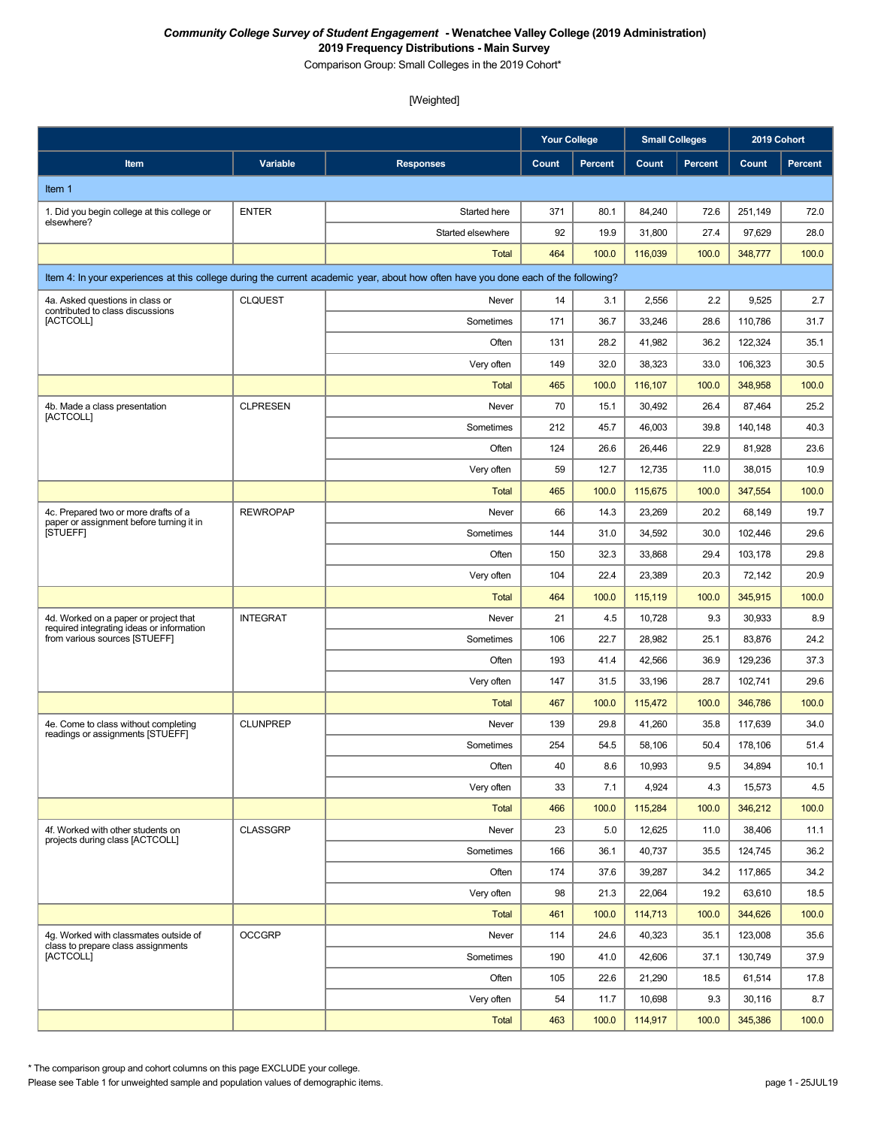Comparison Group: Small Colleges in the 2019 Cohort\*

#### [Weighted]

|                                                                                    |                 |                                                                                                                                    | <b>Your College</b> |         | <b>Small Colleges</b> |                | 2019 Cohort |                |
|------------------------------------------------------------------------------------|-----------------|------------------------------------------------------------------------------------------------------------------------------------|---------------------|---------|-----------------------|----------------|-------------|----------------|
| Item                                                                               | Variable        | <b>Responses</b>                                                                                                                   | Count               | Percent | Count                 | <b>Percent</b> | Count       | <b>Percent</b> |
| Item 1                                                                             |                 |                                                                                                                                    |                     |         |                       |                |             |                |
| 1. Did you begin college at this college or                                        | <b>ENTER</b>    | Started here                                                                                                                       | 371                 | 80.1    | 84,240                | 72.6           | 251,149     | 72.0           |
| elsewhere?                                                                         |                 | Started elsewhere                                                                                                                  | 92                  | 19.9    | 31,800                | 27.4           | 97,629      | 28.0           |
|                                                                                    |                 | <b>Total</b>                                                                                                                       | 464                 | 100.0   | 116,039               | 100.0          | 348,777     | 100.0          |
|                                                                                    |                 | Item 4: In your experiences at this college during the current academic year, about how often have you done each of the following? |                     |         |                       |                |             |                |
| 4a. Asked questions in class or<br>contributed to class discussions                | <b>CLQUEST</b>  | Never                                                                                                                              | 14                  | 3.1     | 2,556                 | 2.2            | 9,525       | 2.7            |
| [ACTCOLL]                                                                          |                 | Sometimes                                                                                                                          | 171                 | 36.7    | 33,246                | 28.6           | 110,786     | 31.7           |
|                                                                                    |                 | Often                                                                                                                              | 131                 | 28.2    | 41,982                | 36.2           | 122,324     | 35.1           |
|                                                                                    |                 | Very often                                                                                                                         | 149                 | 32.0    | 38,323                | 33.0           | 106,323     | 30.5           |
|                                                                                    |                 | <b>Total</b>                                                                                                                       | 465                 | 100.0   | 116,107               | 100.0          | 348,958     | 100.0          |
| 4b. Made a class presentation<br>[ACTCOLL]                                         | <b>CLPRESEN</b> | Never                                                                                                                              | 70                  | 15.1    | 30,492                | 26.4           | 87,464      | 25.2           |
|                                                                                    |                 | Sometimes                                                                                                                          | 212                 | 45.7    | 46,003                | 39.8           | 140,148     | 40.3           |
|                                                                                    |                 | Often                                                                                                                              | 124                 | 26.6    | 26,446                | 22.9           | 81,928      | 23.6           |
|                                                                                    |                 | Very often                                                                                                                         | 59                  | 12.7    | 12,735                | 11.0           | 38,015      | 10.9           |
|                                                                                    |                 | <b>Total</b>                                                                                                                       | 465                 | 100.0   | 115,675               | 100.0          | 347,554     | 100.0          |
| 4c. Prepared two or more drafts of a<br>paper or assignment before turning it in   | <b>REWROPAP</b> | Never                                                                                                                              | 66                  | 14.3    | 23,269                | 20.2           | 68,149      | 19.7           |
| <b>ISTUEFFI</b>                                                                    |                 | Sometimes                                                                                                                          | 144                 | 31.0    | 34,592                | 30.0           | 102,446     | 29.6           |
|                                                                                    |                 | Often                                                                                                                              | 150                 | 32.3    | 33,868                | 29.4           | 103,178     | 29.8           |
|                                                                                    |                 | Very often                                                                                                                         | 104                 | 22.4    | 23,389                | 20.3           | 72,142      | 20.9           |
|                                                                                    |                 | <b>Total</b>                                                                                                                       | 464                 | 100.0   | 115,119               | 100.0          | 345,915     | 100.0          |
| 4d. Worked on a paper or project that<br>required integrating ideas or information | <b>INTEGRAT</b> | Never                                                                                                                              | 21                  | 4.5     | 10,728                | 9.3            | 30,933      | 8.9            |
| from various sources [STUEFF]                                                      |                 | Sometimes                                                                                                                          | 106                 | 22.7    | 28,982                | 25.1           | 83,876      | 24.2           |
|                                                                                    |                 | Often                                                                                                                              | 193                 | 41.4    | 42,566                | 36.9           | 129,236     | 37.3           |
|                                                                                    |                 | Very often                                                                                                                         | 147                 | 31.5    | 33,196                | 28.7           | 102,741     | 29.6           |
|                                                                                    |                 | <b>Total</b>                                                                                                                       | 467                 | 100.0   | 115,472               | 100.0          | 346,786     | 100.0          |
| 4e. Come to class without completing<br>readings or assignments [STUEFF]           | <b>CLUNPREP</b> | Never                                                                                                                              | 139                 | 29.8    | 41,260                | 35.8           | 117,639     | 34.0           |
|                                                                                    |                 | Sometimes                                                                                                                          | 254                 | 54.5    | 58,106                | 50.4           | 178,106     | 51.4           |
|                                                                                    |                 | Often                                                                                                                              | 40                  | 8.6     | 10,993                | 9.5            | 34,894      | 10.1           |
|                                                                                    |                 | Very often                                                                                                                         | 33                  | 7.1     | 4,924                 | 4.3            | 15,573      | 4.5            |
|                                                                                    |                 | <b>Total</b>                                                                                                                       | 466                 | 100.0   | 115,284               | 100.0          | 346,212     | 100.0          |
| 4f. Worked with other students on<br>projects during class [ACTCOLL]               | <b>CLASSGRP</b> | Never                                                                                                                              | 23                  | 5.0     | 12,625                | 11.0           | 38,406      | 11.1           |
|                                                                                    |                 | Sometimes                                                                                                                          | 166                 | 36.1    | 40,737                | 35.5           | 124,745     | 36.2           |
|                                                                                    |                 | Often                                                                                                                              | 174                 | 37.6    | 39,287                | 34.2           | 117,865     | 34.2           |
|                                                                                    |                 | Very often                                                                                                                         | 98                  | 21.3    | 22,064                | 19.2           | 63,610      | 18.5           |
|                                                                                    |                 | <b>Total</b>                                                                                                                       | 461                 | 100.0   | 114,713               | 100.0          | 344,626     | 100.0          |
| 4g. Worked with classmates outside of<br>class to prepare class assignments        | <b>OCCGRP</b>   | Never                                                                                                                              | 114                 | 24.6    | 40,323                | 35.1           | 123,008     | 35.6           |
| [ACTCOLL]                                                                          |                 | Sometimes                                                                                                                          | 190                 | 41.0    | 42,606                | 37.1           | 130,749     | 37.9           |
|                                                                                    |                 | Often                                                                                                                              | 105                 | 22.6    | 21,290                | 18.5           | 61,514      | 17.8           |
|                                                                                    |                 | Very often                                                                                                                         | 54                  | 11.7    | 10,698                | 9.3            | 30,116      | 8.7            |
|                                                                                    |                 | <b>Total</b>                                                                                                                       | 463                 | 100.0   | 114,917               | 100.0          | 345,386     | 100.0          |

\* The comparison group and cohort columns on this page EXCLUDE your college.

Please see Table 1 for unweighted sample and population values of demographic items. page 1 - 25JUL19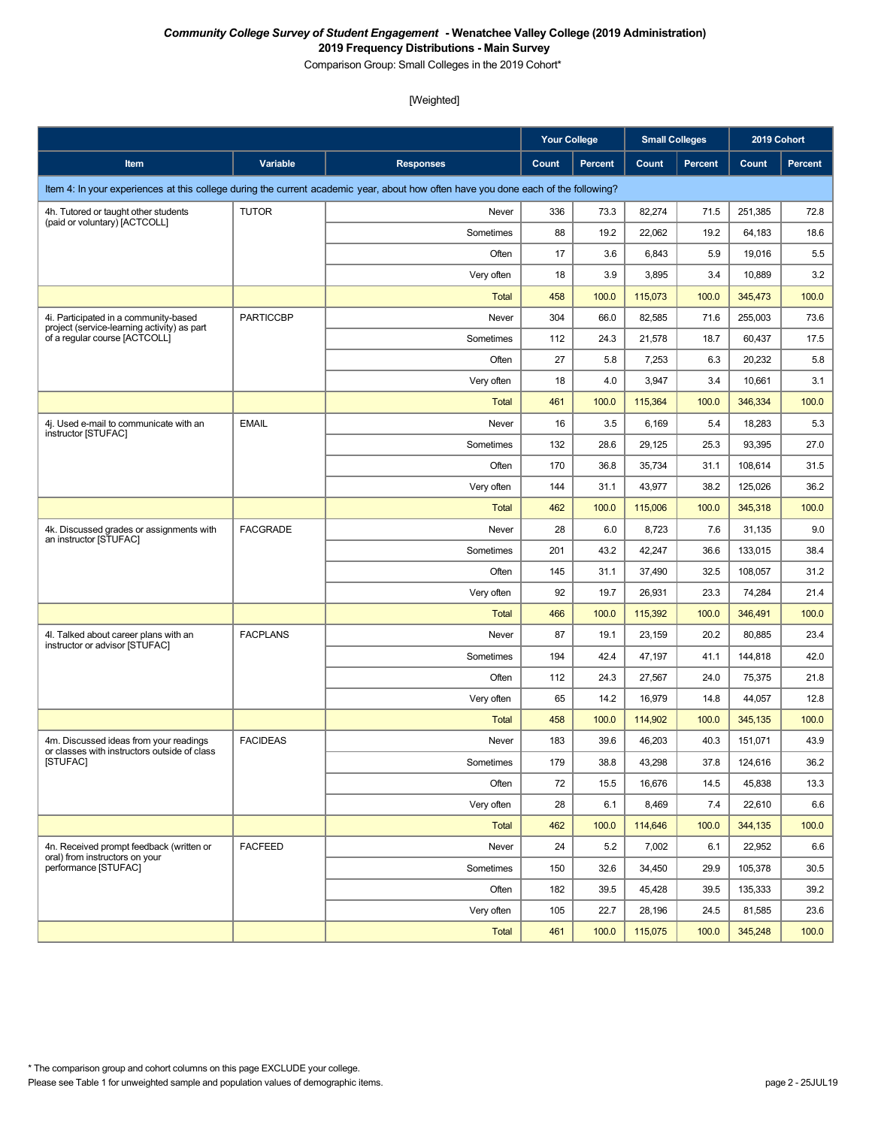Comparison Group: Small Colleges in the 2019 Cohort\*

|                                                                                        |                  |                                                                                                                                    | <b>Your College</b> |                | <b>Small Colleges</b> |                | 2019 Cohort |                |
|----------------------------------------------------------------------------------------|------------------|------------------------------------------------------------------------------------------------------------------------------------|---------------------|----------------|-----------------------|----------------|-------------|----------------|
| Item                                                                                   | Variable         | <b>Responses</b>                                                                                                                   | Count               | <b>Percent</b> | Count                 | <b>Percent</b> | Count       | <b>Percent</b> |
|                                                                                        |                  | Item 4: In your experiences at this college during the current academic year, about how often have you done each of the following? |                     |                |                       |                |             |                |
| 4h. Tutored or taught other students                                                   | <b>TUTOR</b>     | Never                                                                                                                              | 336                 | 73.3           | 82,274                | 71.5           | 251,385     | 72.8           |
| (paid or voluntary) [ACTCOLL]                                                          |                  | Sometimes                                                                                                                          | 88                  | 19.2           | 22,062                | 19.2           | 64,183      | 18.6           |
|                                                                                        |                  | Often                                                                                                                              | 17                  | 3.6            | 6,843                 | 5.9            | 19,016      | 5.5            |
|                                                                                        |                  | Very often                                                                                                                         | 18                  | 3.9            | 3,895                 | 3.4            | 10,889      | 3.2            |
|                                                                                        |                  | <b>Total</b>                                                                                                                       | 458                 | 100.0          | 115,073               | 100.0          | 345,473     | 100.0          |
| 4i. Participated in a community-based<br>project (service-learning activity) as part   | <b>PARTICCBP</b> | Never                                                                                                                              | 304                 | 66.0           | 82,585                | 71.6           | 255,003     | 73.6           |
| of a regular course [ACTCOLL]                                                          |                  | Sometimes                                                                                                                          | 112                 | 24.3           | 21,578                | 18.7           | 60,437      | 17.5           |
|                                                                                        |                  | Often                                                                                                                              | 27                  | 5.8            | 7,253                 | 6.3            | 20,232      | 5.8            |
|                                                                                        |                  | Very often                                                                                                                         | 18                  | 4.0            | 3,947                 | 3.4            | 10,661      | 3.1            |
|                                                                                        |                  | <b>Total</b>                                                                                                                       | 461                 | 100.0          | 115,364               | 100.0          | 346,334     | 100.0          |
| 4j. Used e-mail to communicate with an<br>instructor [STUFAC]                          | <b>EMAIL</b>     | Never                                                                                                                              | 16                  | 3.5            | 6,169                 | 5.4            | 18,283      | 5.3            |
|                                                                                        |                  | Sometimes                                                                                                                          | 132                 | 28.6           | 29,125                | 25.3           | 93,395      | 27.0           |
|                                                                                        |                  | Often                                                                                                                              | 170                 | 36.8           | 35,734                | 31.1           | 108,614     | 31.5           |
|                                                                                        |                  | Very often                                                                                                                         | 144                 | 31.1           | 43,977                | 38.2           | 125,026     | 36.2           |
|                                                                                        |                  | Total                                                                                                                              | 462                 | 100.0          | 115,006               | 100.0          | 345,318     | 100.0          |
| 4k. Discussed grades or assignments with<br>an instructor [STUFAC]                     | <b>FACGRADE</b>  | Never                                                                                                                              | 28                  | 6.0            | 8,723                 | 7.6            | 31,135      | 9.0            |
|                                                                                        |                  | Sometimes                                                                                                                          | 201                 | 43.2           | 42,247                | 36.6           | 133,015     | 38.4           |
|                                                                                        |                  | Often                                                                                                                              | 145                 | 31.1           | 37,490                | 32.5           | 108,057     | 31.2           |
|                                                                                        |                  | Very often                                                                                                                         | 92                  | 19.7           | 26,931                | 23.3           | 74,284      | 21.4           |
|                                                                                        |                  | Total                                                                                                                              | 466                 | 100.0          | 115,392               | 100.0          | 346,491     | 100.0          |
| 4I. Talked about career plans with an<br>instructor or advisor [STUFAC]                | <b>FACPLANS</b>  | Never                                                                                                                              | 87                  | 19.1           | 23,159                | 20.2           | 80,885      | 23.4           |
|                                                                                        |                  | Sometimes                                                                                                                          | 194                 | 42.4           | 47,197                | 41.1           | 144,818     | 42.0           |
|                                                                                        |                  | Often                                                                                                                              | 112                 | 24.3           | 27,567                | 24.0           | 75,375      | 21.8           |
|                                                                                        |                  | Very often                                                                                                                         | 65                  | 14.2           | 16,979                | 14.8           | 44,057      | 12.8           |
|                                                                                        |                  | <b>Total</b>                                                                                                                       | 458                 | 100.0          | 114,902               | 100.0          | 345,135     | 100.0          |
| 4m. Discussed ideas from your readings<br>or classes with instructors outside of class | <b>FACIDEAS</b>  | Never                                                                                                                              | 183                 | 39.6           | 46,203                | 40.3           | 151,071     | 43.9           |
| [STUFAC]                                                                               |                  | Sometimes                                                                                                                          | 179                 | 38.8           | 43,298                | 37.8           | 124,616     | 36.2           |
|                                                                                        |                  | Often                                                                                                                              | 72                  | 15.5           | 16,676                | 14.5           | 45,838      | 13.3           |
|                                                                                        |                  | Very often                                                                                                                         | 28                  | 6.1            | 8,469                 | 7.4            | 22,610      | 6.6            |
|                                                                                        |                  | Total                                                                                                                              | 462                 | 100.0          | 114,646               | 100.0          | 344,135     | 100.0          |
| 4n. Received prompt feedback (written or<br>oral) from instructors on your             | <b>FACFEED</b>   | Never                                                                                                                              | 24                  | 5.2            | 7,002                 | 6.1            | 22,952      | 6.6            |
| performance [STUFAC]                                                                   |                  | Sometimes                                                                                                                          | 150                 | 32.6           | 34,450                | 29.9           | 105,378     | 30.5           |
|                                                                                        |                  | Often                                                                                                                              | 182                 | 39.5           | 45,428                | 39.5           | 135,333     | 39.2           |
|                                                                                        |                  | Very often                                                                                                                         | 105                 | 22.7           | 28,196                | 24.5           | 81,585      | 23.6           |
|                                                                                        |                  | Total                                                                                                                              | 461                 | 100.0          | 115,075               | 100.0          | 345,248     | 100.0          |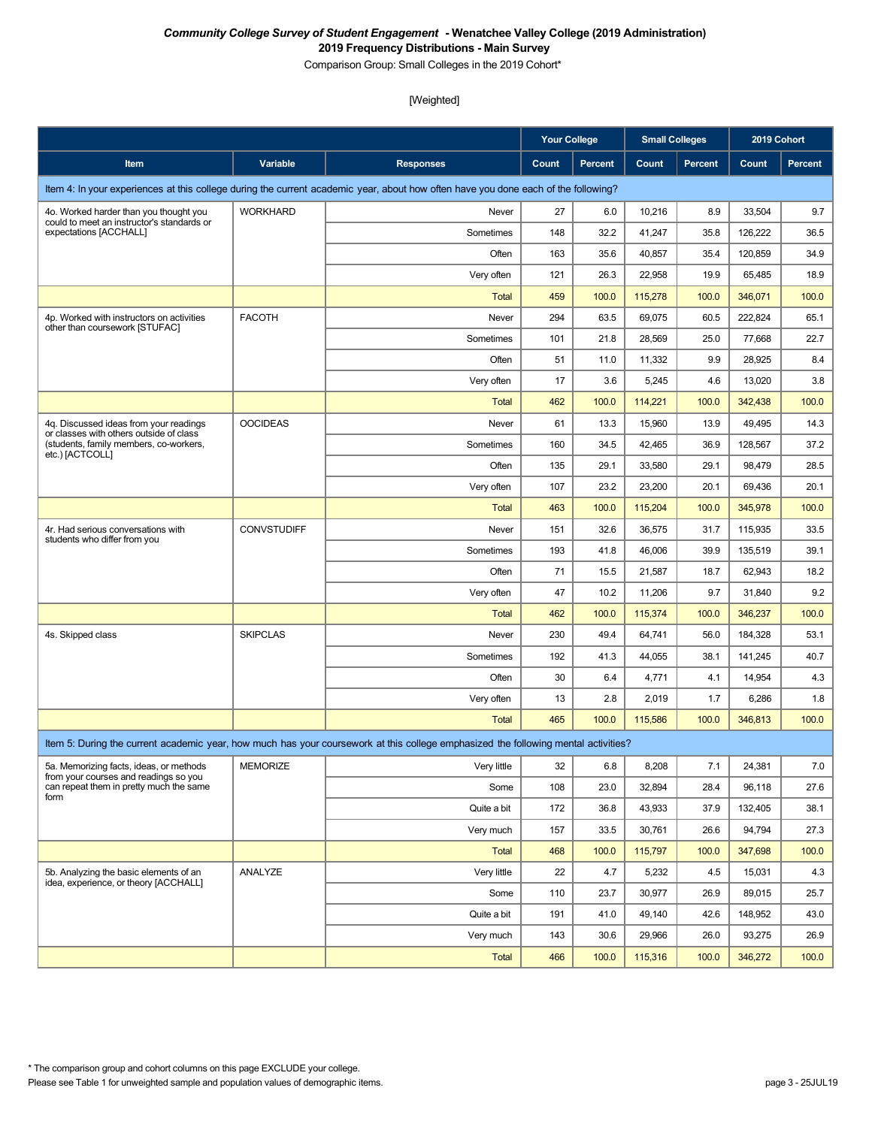Comparison Group: Small Colleges in the 2019 Cohort\*

|                                                                                   |                    |                                                                                                                                    | <b>Your College</b> |         | <b>Small Colleges</b> |                | 2019 Cohort |                |
|-----------------------------------------------------------------------------------|--------------------|------------------------------------------------------------------------------------------------------------------------------------|---------------------|---------|-----------------------|----------------|-------------|----------------|
| Item                                                                              | Variable           | <b>Responses</b>                                                                                                                   | Count               | Percent | Count                 | <b>Percent</b> | Count       | <b>Percent</b> |
|                                                                                   |                    | Item 4: In your experiences at this college during the current academic year, about how often have you done each of the following? |                     |         |                       |                |             |                |
| 4o. Worked harder than you thought you                                            | <b>WORKHARD</b>    | Never                                                                                                                              | 27                  | 6.0     | 10,216                | 8.9            | 33,504      | 9.7            |
| could to meet an instructor's standards or<br>expectations [ACCHALL]              |                    | Sometimes                                                                                                                          | 148                 | 32.2    | 41,247                | 35.8           | 126,222     | 36.5           |
|                                                                                   |                    | Often                                                                                                                              | 163                 | 35.6    | 40,857                | 35.4           | 120,859     | 34.9           |
|                                                                                   |                    | Very often                                                                                                                         | 121                 | 26.3    | 22,958                | 19.9           | 65,485      | 18.9           |
|                                                                                   |                    | <b>Total</b>                                                                                                                       | 459                 | 100.0   | 115,278               | 100.0          | 346,071     | 100.0          |
| 4p. Worked with instructors on activities<br>other than coursework [STUFAC]       | <b>FACOTH</b>      | Never                                                                                                                              | 294                 | 63.5    | 69,075                | 60.5           | 222,824     | 65.1           |
|                                                                                   |                    | Sometimes                                                                                                                          | 101                 | 21.8    | 28,569                | 25.0           | 77,668      | 22.7           |
|                                                                                   |                    | Often                                                                                                                              | 51                  | 11.0    | 11,332                | 9.9            | 28,925      | 8.4            |
|                                                                                   |                    | Very often                                                                                                                         | 17                  | 3.6     | 5,245                 | 4.6            | 13,020      | 3.8            |
|                                                                                   |                    | <b>Total</b>                                                                                                                       | 462                 | 100.0   | 114,221               | 100.0          | 342,438     | 100.0          |
| 4q. Discussed ideas from your readings<br>or classes with others outside of class | <b>OOCIDEAS</b>    | Never                                                                                                                              | 61                  | 13.3    | 15,960                | 13.9           | 49,495      | 14.3           |
| (students, family members, co-workers,<br>etc.) [ACTCOLL]                         |                    | Sometimes                                                                                                                          | 160                 | 34.5    | 42,465                | 36.9           | 128,567     | 37.2           |
|                                                                                   |                    | Often                                                                                                                              | 135                 | 29.1    | 33,580                | 29.1           | 98,479      | 28.5           |
|                                                                                   |                    | Very often                                                                                                                         | 107                 | 23.2    | 23,200                | 20.1           | 69,436      | 20.1           |
|                                                                                   |                    | <b>Total</b>                                                                                                                       | 463                 | 100.0   | 115,204               | 100.0          | 345,978     | 100.0          |
| 4r. Had serious conversations with<br>students who differ from you                | <b>CONVSTUDIFF</b> | Never                                                                                                                              | 151                 | 32.6    | 36,575                | 31.7           | 115,935     | 33.5           |
|                                                                                   |                    | Sometimes                                                                                                                          | 193                 | 41.8    | 46,006                | 39.9           | 135,519     | 39.1           |
|                                                                                   |                    | Often                                                                                                                              | 71                  | 15.5    | 21,587                | 18.7           | 62,943      | 18.2           |
|                                                                                   |                    | Very often                                                                                                                         | 47                  | 10.2    | 11,206                | 9.7            | 31,840      | 9.2            |
|                                                                                   |                    | <b>Total</b>                                                                                                                       | 462                 | 100.0   | 115,374               | 100.0          | 346,237     | 100.0          |
| 4s. Skipped class                                                                 | <b>SKIPCLAS</b>    | Never                                                                                                                              | 230                 | 49.4    | 64,741                | 56.0           | 184,328     | 53.1           |
|                                                                                   |                    | Sometimes                                                                                                                          | 192                 | 41.3    | 44,055                | 38.1           | 141,245     | 40.7           |
|                                                                                   |                    | Often                                                                                                                              | 30                  | 6.4     | 4,771                 | 4.1            | 14,954      | 4.3            |
|                                                                                   |                    | Very often                                                                                                                         | 13                  | 2.8     | 2,019                 | 1.7            | 6,286       | 1.8            |
|                                                                                   |                    | <b>Total</b>                                                                                                                       | 465                 | 100.0   | 115,586               | 100.0          | 346,813     | 100.0          |
|                                                                                   |                    | Item 5: During the current academic year, how much has your coursework at this college emphasized the following mental activities? |                     |         |                       |                |             |                |
| 5a. Memorizing facts, ideas, or methods<br>from your courses and readings so you  | <b>MEMORIZE</b>    | Very little                                                                                                                        | 32                  | 6.8     | 8,208                 | 7.1            | 24,381      | 7.0            |
| can repeat them in pretty much the same<br>form                                   |                    | Some                                                                                                                               | 108                 | 23.0    | 32,894                | 28.4           | 96,118      | 27.6           |
|                                                                                   |                    | Quite a bit                                                                                                                        | 172                 | 36.8    | 43,933                | 37.9           | 132,405     | 38.1           |
|                                                                                   |                    | Very much                                                                                                                          | 157                 | 33.5    | 30,761                | 26.6           | 94,794      | 27.3           |
|                                                                                   |                    | <b>Total</b>                                                                                                                       | 468                 | 100.0   | 115,797               | 100.0          | 347,698     | 100.0          |
| 5b. Analyzing the basic elements of an                                            | ANALYZE            | Very little                                                                                                                        | 22                  | 4.7     | 5,232                 | 4.5            | 15,031      | 4.3            |
| idea, experience, or theory [ACCHALL]                                             |                    | Some                                                                                                                               | 110                 | 23.7    | 30,977                | 26.9           | 89,015      | 25.7           |
|                                                                                   |                    | Quite a bit                                                                                                                        | 191                 | 41.0    | 49,140                | 42.6           | 148,952     | 43.0           |
|                                                                                   |                    | Very much                                                                                                                          | 143                 | 30.6    | 29,966                | 26.0           | 93,275      | 26.9           |
|                                                                                   |                    | <b>Total</b>                                                                                                                       | 466                 | 100.0   | 115,316               | 100.0          | 346,272     | 100.0          |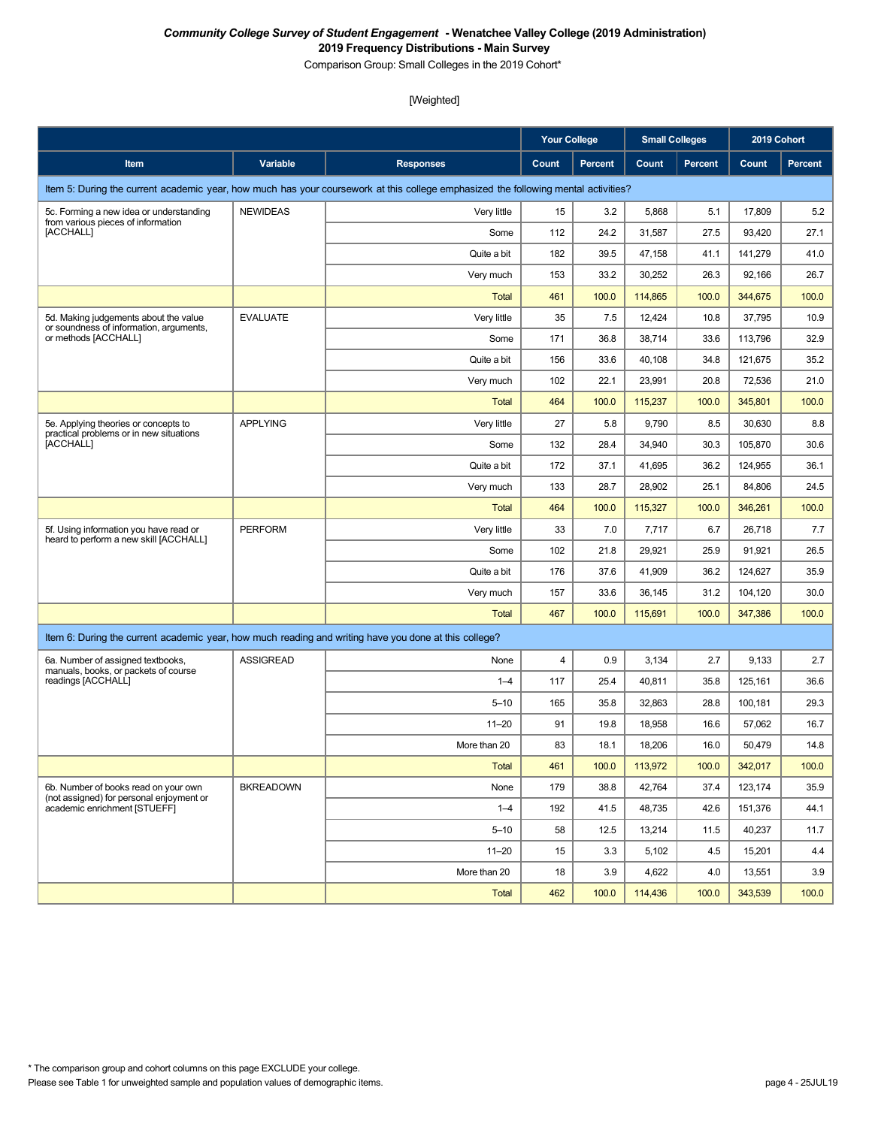Comparison Group: Small Colleges in the 2019 Cohort\*

|                                                                                                       |                  |                                                                                                                                    | <b>Your College</b> |                | <b>Small Colleges</b> |                | 2019 Cohort |                |
|-------------------------------------------------------------------------------------------------------|------------------|------------------------------------------------------------------------------------------------------------------------------------|---------------------|----------------|-----------------------|----------------|-------------|----------------|
| Item                                                                                                  | Variable         | <b>Responses</b>                                                                                                                   | Count               | <b>Percent</b> | Count                 | <b>Percent</b> | Count       | <b>Percent</b> |
|                                                                                                       |                  | Item 5: During the current academic year, how much has your coursework at this college emphasized the following mental activities? |                     |                |                       |                |             |                |
| 5c. Forming a new idea or understanding                                                               | <b>NEWIDEAS</b>  | Very little                                                                                                                        | 15                  | 3.2            | 5,868                 | 5.1            | 17,809      | 5.2            |
| from various pieces of information<br>[ACCHALL]                                                       |                  | Some                                                                                                                               | 112                 | 24.2           | 31,587                | 27.5           | 93,420      | 27.1           |
|                                                                                                       |                  | Quite a bit                                                                                                                        | 182                 | 39.5           | 47,158                | 41.1           | 141,279     | 41.0           |
|                                                                                                       |                  | Very much                                                                                                                          | 153                 | 33.2           | 30,252                | 26.3           | 92,166      | 26.7           |
|                                                                                                       |                  | <b>Total</b>                                                                                                                       | 461                 | 100.0          | 114,865               | 100.0          | 344.675     | 100.0          |
| 5d. Making judgements about the value                                                                 | <b>EVALUATE</b>  | Very little                                                                                                                        | 35                  | 7.5            | 12,424                | 10.8           | 37,795      | 10.9           |
| or soundness of information, arguments,<br>or methods [ACCHALL]                                       |                  | Some                                                                                                                               | 171                 | 36.8           | 38,714                | 33.6           | 113,796     | 32.9           |
|                                                                                                       |                  | Quite a bit                                                                                                                        | 156                 | 33.6           | 40,108                | 34.8           | 121,675     | 35.2           |
|                                                                                                       |                  | Very much                                                                                                                          | 102                 | 22.1           | 23,991                | 20.8           | 72,536      | 21.0           |
|                                                                                                       |                  | <b>Total</b>                                                                                                                       | 464                 | 100.0          | 115,237               | 100.0          | 345,801     | 100.0          |
| 5e. Applying theories or concepts to<br>practical problems or in new situations                       | <b>APPLYING</b>  | Very little                                                                                                                        | 27                  | 5.8            | 9,790                 | 8.5            | 30,630      | 8.8            |
| [ACCHALL]                                                                                             |                  | Some                                                                                                                               | 132                 | 28.4           | 34,940                | 30.3           | 105,870     | 30.6           |
|                                                                                                       |                  | Quite a bit                                                                                                                        | 172                 | 37.1           | 41,695                | 36.2           | 124,955     | 36.1           |
|                                                                                                       |                  | Very much                                                                                                                          | 133                 | 28.7           | 28,902                | 25.1           | 84,806      | 24.5           |
|                                                                                                       |                  | <b>Total</b>                                                                                                                       | 464                 | 100.0          | 115,327               | 100.0          | 346,261     | 100.0          |
| 5f. Using information you have read or<br>heard to perform a new skill [ACCHALL]                      | <b>PERFORM</b>   | Very little                                                                                                                        | 33                  | 7.0            | 7,717                 | 6.7            | 26,718      | 7.7            |
|                                                                                                       |                  | Some                                                                                                                               | 102                 | 21.8           | 29,921                | 25.9           | 91,921      | 26.5           |
|                                                                                                       |                  | Quite a bit                                                                                                                        | 176                 | 37.6           | 41,909                | 36.2           | 124,627     | 35.9           |
|                                                                                                       |                  | Very much                                                                                                                          | 157                 | 33.6           | 36,145                | 31.2           | 104,120     | 30.0           |
|                                                                                                       |                  | <b>Total</b>                                                                                                                       | 467                 | 100.0          | 115,691               | 100.0          | 347,386     | 100.0          |
| Item 6: During the current academic year, how much reading and writing have you done at this college? |                  |                                                                                                                                    |                     |                |                       |                |             |                |
| 6a. Number of assigned textbooks,<br>manuals, books, or packets of course                             | <b>ASSIGREAD</b> | None                                                                                                                               | $\overline{4}$      | 0.9            | 3,134                 | 2.7            | 9,133       | 2.7            |
| readings [ACCHALL]                                                                                    |                  | $1 - 4$                                                                                                                            | 117                 | 25.4           | 40,811                | 35.8           | 125,161     | 36.6           |
|                                                                                                       |                  | $5 - 10$                                                                                                                           | 165                 | 35.8           | 32,863                | 28.8           | 100,181     | 29.3           |
|                                                                                                       |                  | $11 - 20$                                                                                                                          | 91                  | 19.8           | 18,958                | 16.6           | 57,062      | 16.7           |
|                                                                                                       |                  | More than 20                                                                                                                       | 83                  | 18.1           | 18,206                | 16.0           | 50,479      | 14.8           |
|                                                                                                       |                  | <b>Total</b>                                                                                                                       | 461                 | 100.0          | 113,972               | 100.0          | 342,017     | 100.0          |
| 6b. Number of books read on your own<br>(not assigned) for personal enjoyment or                      | <b>BKREADOWN</b> | None                                                                                                                               | 179                 | 38.8           | 42,764                | 37.4           | 123,174     | 35.9           |
| academic enrichment [STUEFF]                                                                          |                  | $1 - 4$                                                                                                                            | 192                 | 41.5           | 48,735                | 42.6           | 151,376     | 44.1           |
|                                                                                                       |                  | $5 - 10$                                                                                                                           | 58                  | 12.5           | 13,214                | 11.5           | 40,237      | 11.7           |
|                                                                                                       |                  | $11 - 20$                                                                                                                          | 15                  | 3.3            | 5,102                 | 4.5            | 15,201      | 4.4            |
|                                                                                                       |                  | More than 20                                                                                                                       | 18                  | 3.9            | 4,622                 | 4.0            | 13,551      | 3.9            |
|                                                                                                       |                  | <b>Total</b>                                                                                                                       | 462                 | 100.0          | 114,436               | 100.0          | 343,539     | 100.0          |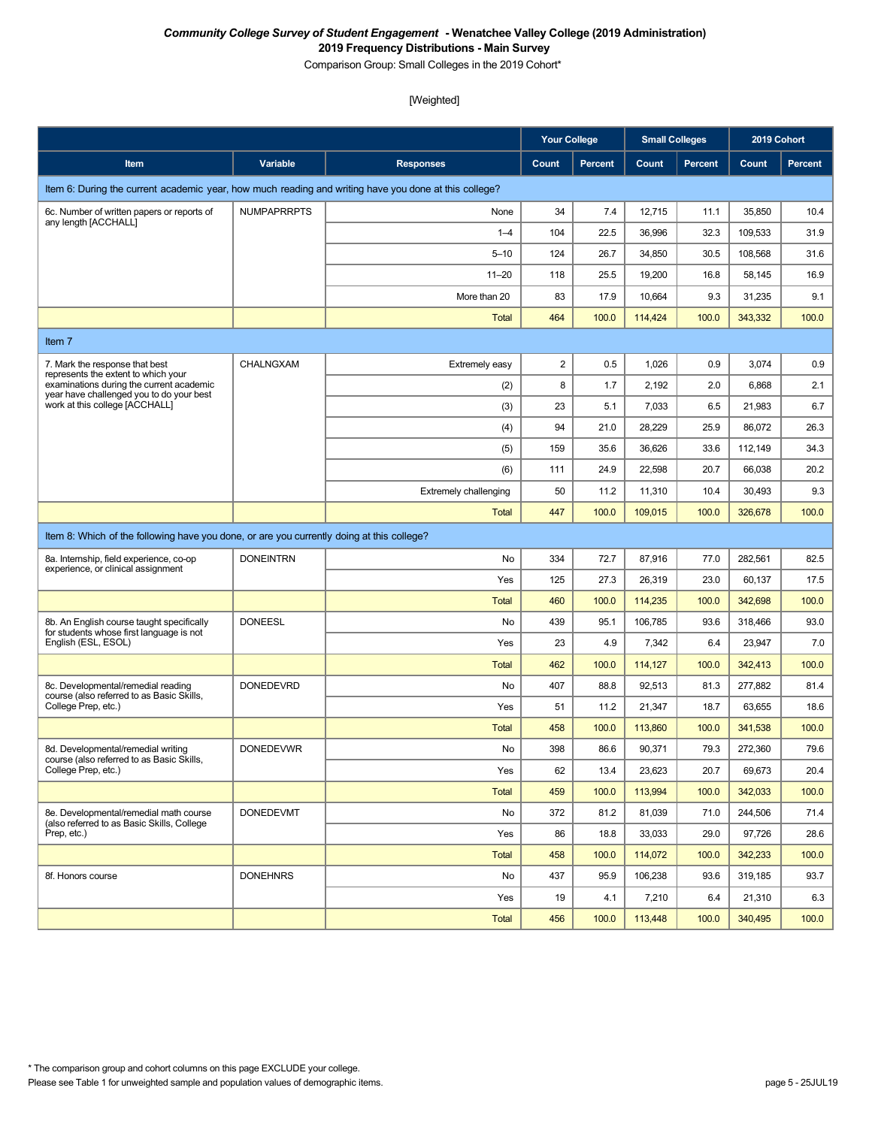Comparison Group: Small Colleges in the 2019 Cohort\*

|                                                                                                       |                    |                              | <b>Your College</b> |         | <b>Small Colleges</b> |                | 2019 Cohort |         |  |  |
|-------------------------------------------------------------------------------------------------------|--------------------|------------------------------|---------------------|---------|-----------------------|----------------|-------------|---------|--|--|
| Item                                                                                                  | Variable           | <b>Responses</b>             | Count               | Percent | Count                 | <b>Percent</b> | Count       | Percent |  |  |
| Item 6: During the current academic year, how much reading and writing have you done at this college? |                    |                              |                     |         |                       |                |             |         |  |  |
| 6c. Number of written papers or reports of                                                            | <b>NUMPAPRRPTS</b> | None                         | 34                  | 7.4     | 12,715                | 11.1           | 35,850      | 10.4    |  |  |
| any length [ACCHALL]                                                                                  |                    | $1 - 4$                      | 104                 | 22.5    | 36,996                | 32.3           | 109,533     | 31.9    |  |  |
|                                                                                                       |                    | $5 - 10$                     | 124                 | 26.7    | 34,850                | 30.5           | 108,568     | 31.6    |  |  |
|                                                                                                       |                    | $11 - 20$                    | 118                 | 25.5    | 19,200                | 16.8           | 58,145      | 16.9    |  |  |
|                                                                                                       |                    | More than 20                 | 83                  | 17.9    | 10,664                | 9.3            | 31,235      | 9.1     |  |  |
|                                                                                                       |                    | <b>Total</b>                 | 464                 | 100.0   | 114,424               | 100.0          | 343,332     | 100.0   |  |  |
| Item 7                                                                                                |                    |                              |                     |         |                       |                |             |         |  |  |
| 7. Mark the response that best<br>represents the extent to which your                                 | CHALNGXAM          | Extremely easy               | 2                   | 0.5     | 1,026                 | 0.9            | 3,074       | 0.9     |  |  |
| examinations during the current academic<br>year have challenged you to do your best                  |                    | (2)                          | 8                   | 1.7     | 2,192                 | 2.0            | 6,868       | 2.1     |  |  |
| work at this college [ACCHALL]                                                                        |                    | (3)                          | 23                  | 5.1     | 7,033                 | 6.5            | 21,983      | 6.7     |  |  |
|                                                                                                       |                    | (4)                          | 94                  | 21.0    | 28,229                | 25.9           | 86,072      | 26.3    |  |  |
|                                                                                                       |                    | (5)                          | 159                 | 35.6    | 36,626                | 33.6           | 112,149     | 34.3    |  |  |
|                                                                                                       |                    | (6)                          | 111                 | 24.9    | 22,598                | 20.7           | 66,038      | 20.2    |  |  |
|                                                                                                       |                    | <b>Extremely challenging</b> | 50                  | 11.2    | 11,310                | 10.4           | 30,493      | 9.3     |  |  |
|                                                                                                       |                    | <b>Total</b>                 | 447                 | 100.0   | 109,015               | 100.0          | 326,678     | 100.0   |  |  |
| Item 8: Which of the following have you done, or are you currently doing at this college?             |                    |                              |                     |         |                       |                |             |         |  |  |
| 8a. Internship, field experience, co-op                                                               | <b>DONEINTRN</b>   | No                           | 334                 | 72.7    | 87,916                | 77.0           | 282,561     | 82.5    |  |  |
| experience, or clinical assignment                                                                    |                    | Yes                          | 125                 | 27.3    | 26,319                | 23.0           | 60,137      | 17.5    |  |  |
|                                                                                                       |                    | <b>Total</b>                 | 460                 | 100.0   | 114,235               | 100.0          | 342,698     | 100.0   |  |  |
| 8b. An English course taught specifically<br>for students whose first language is not                 | <b>DONEESL</b>     | No                           | 439                 | 95.1    | 106,785               | 93.6           | 318,466     | 93.0    |  |  |
| English (ESL, ESOL)                                                                                   |                    | Yes                          | 23                  | 4.9     | 7,342                 | 6.4            | 23,947      | 7.0     |  |  |
|                                                                                                       |                    | <b>Total</b>                 | 462                 | 100.0   | 114,127               | 100.0          | 342,413     | 100.0   |  |  |
| 8c. Developmental/remedial reading<br>course (also referred to as Basic Skills,                       | <b>DONEDEVRD</b>   | No                           | 407                 | 88.8    | 92,513                | 81.3           | 277,882     | 81.4    |  |  |
| College Prep, etc.)                                                                                   |                    | Yes                          | 51                  | 11.2    | 21,347                | 18.7           | 63,655      | 18.6    |  |  |
|                                                                                                       |                    | <b>Total</b>                 | 458                 | 100.0   | 113,860               | 100.0          | 341,538     | 100.0   |  |  |
| 8d. Developmental/remedial writing<br>course (also referred to as Basic Skills,                       | <b>DONEDEVWR</b>   | No                           | 398                 | 86.6    | 90,371                | 79.3           | 272,360     | 79.6    |  |  |
| College Prep, etc.)                                                                                   |                    | Yes                          | 62                  | 13.4    | 23,623                | 20.7           | 69,673      | 20.4    |  |  |
|                                                                                                       |                    | <b>Total</b>                 | 459                 | 100.0   | 113,994               | 100.0          | 342,033     | 100.0   |  |  |
| 8e. Developmental/remedial math course<br>(also referred to as Basic Skills, College                  | <b>DONEDEVMT</b>   | No                           | 372                 | 81.2    | 81,039                | 71.0           | 244,506     | 71.4    |  |  |
| Prep. etc.)                                                                                           |                    | Yes                          | 86                  | 18.8    | 33,033                | 29.0           | 97,726      | 28.6    |  |  |
|                                                                                                       |                    | <b>Total</b>                 | 458                 | 100.0   | 114,072               | 100.0          | 342,233     | 100.0   |  |  |
| 8f. Honors course                                                                                     | <b>DONEHNRS</b>    | No                           | 437                 | 95.9    | 106,238               | 93.6           | 319,185     | 93.7    |  |  |
|                                                                                                       |                    | Yes                          | 19                  | 4.1     | 7,210                 | 6.4            | 21,310      | 6.3     |  |  |
|                                                                                                       |                    | <b>Total</b>                 | 456                 | 100.0   | 113,448               | 100.0          | 340,495     | 100.0   |  |  |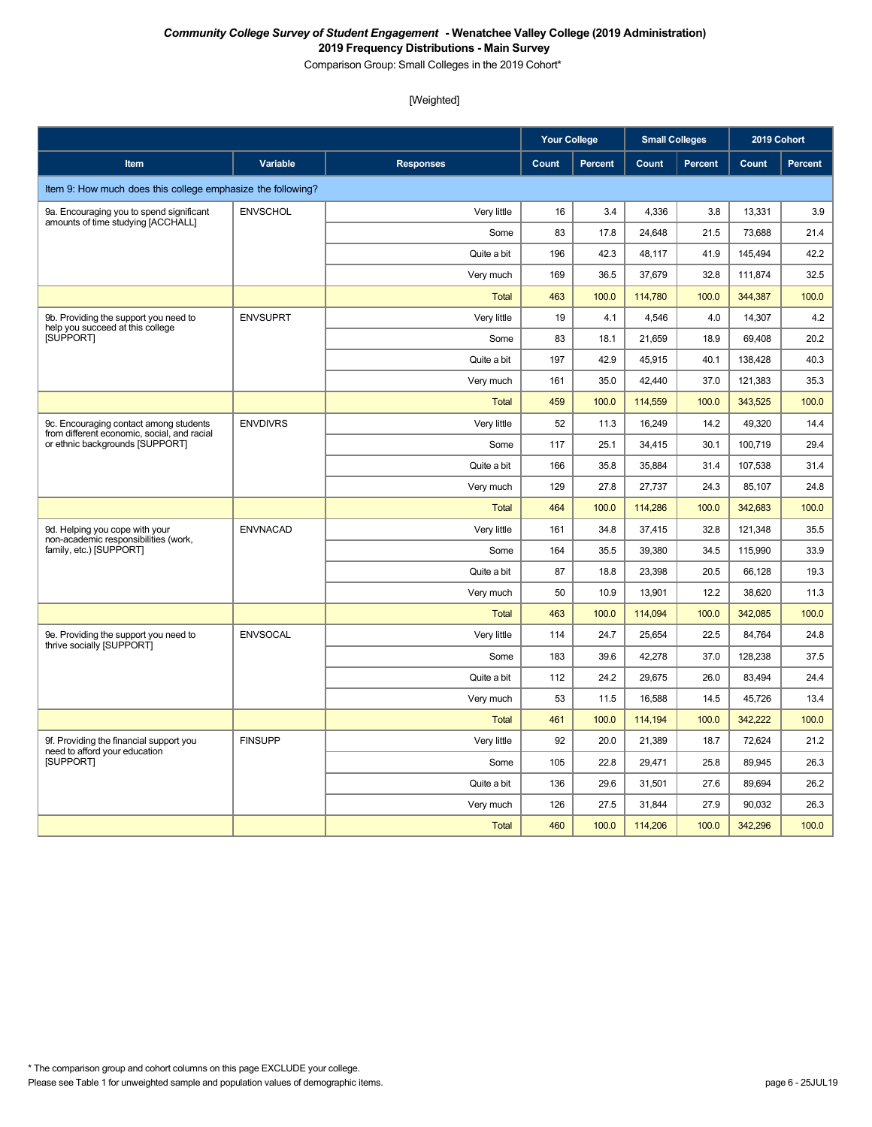Comparison Group: Small Colleges in the 2019 Cohort\*

|                                                                                       |                 |                  | <b>Your College</b> |                | <b>Small Colleges</b> |                | 2019 Cohort |                |
|---------------------------------------------------------------------------------------|-----------------|------------------|---------------------|----------------|-----------------------|----------------|-------------|----------------|
| Item                                                                                  | Variable        | <b>Responses</b> | Count               | <b>Percent</b> | Count                 | <b>Percent</b> | Count       | <b>Percent</b> |
| Item 9: How much does this college emphasize the following?                           |                 |                  |                     |                |                       |                |             |                |
| 9a. Encouraging you to spend significant                                              | <b>ENVSCHOL</b> | Very little      | 16                  | 3.4            | 4,336                 | 3.8            | 13,331      | 3.9            |
| amounts of time studying [ACCHALL]                                                    |                 | Some             | 83                  | 17.8           | 24,648                | 21.5           | 73,688      | 21.4           |
|                                                                                       |                 | Quite a bit      | 196                 | 42.3           | 48,117                | 41.9           | 145,494     | 42.2           |
|                                                                                       |                 | Very much        | 169                 | 36.5           | 37,679                | 32.8           | 111,874     | 32.5           |
|                                                                                       |                 | <b>Total</b>     | 463                 | 100.0          | 114,780               | 100.0          | 344,387     | 100.0          |
| 9b. Providing the support you need to<br>help you succeed at this college             | <b>ENVSUPRT</b> | Very little      | 19                  | 4.1            | 4,546                 | 4.0            | 14,307      | 4.2            |
| [SUPPORT]                                                                             |                 | Some             | 83                  | 18.1           | 21,659                | 18.9           | 69,408      | 20.2           |
|                                                                                       |                 | Quite a bit      | 197                 | 42.9           | 45,915                | 40.1           | 138,428     | 40.3           |
|                                                                                       |                 | Very much        | 161                 | 35.0           | 42,440                | 37.0           | 121,383     | 35.3           |
|                                                                                       |                 | <b>Total</b>     | 459                 | 100.0          | 114,559               | 100.0          | 343,525     | 100.0          |
| 9c. Encouraging contact among students<br>from different economic, social, and racial | <b>ENVDIVRS</b> | Very little      | 52                  | 11.3           | 16,249                | 14.2           | 49,320      | 14.4           |
| or ethnic backgrounds [SUPPORT]                                                       |                 | Some             | 117                 | 25.1           | 34,415                | 30.1           | 100,719     | 29.4           |
|                                                                                       |                 | Quite a bit      | 166                 | 35.8           | 35,884                | 31.4           | 107,538     | 31.4           |
|                                                                                       |                 | Very much        | 129                 | 27.8           | 27,737                | 24.3           | 85,107      | 24.8           |
|                                                                                       |                 | <b>Total</b>     | 464                 | 100.0          | 114,286               | 100.0          | 342,683     | 100.0          |
| 9d. Helping you cope with your                                                        | <b>ENVNACAD</b> | Very little      | 161                 | 34.8           | 37,415                | 32.8           | 121,348     | 35.5           |
| non-academic responsibilities (work,<br>family, etc.) [SUPPORT]                       |                 | Some             | 164                 | 35.5           | 39,380                | 34.5           | 115,990     | 33.9           |
|                                                                                       |                 | Quite a bit      | 87                  | 18.8           | 23,398                | 20.5           | 66,128      | 19.3           |
|                                                                                       |                 | Very much        | 50                  | 10.9           | 13,901                | 12.2           | 38,620      | 11.3           |
|                                                                                       |                 | Total            | 463                 | 100.0          | 114,094               | 100.0          | 342,085     | 100.0          |
| 9e. Providing the support you need to<br>thrive socially [SUPPORT]                    | <b>ENVSOCAL</b> | Very little      | 114                 | 24.7           | 25,654                | 22.5           | 84,764      | 24.8           |
|                                                                                       |                 | Some             | 183                 | 39.6           | 42,278                | 37.0           | 128,238     | 37.5           |
|                                                                                       |                 | Quite a bit      | 112                 | 24.2           | 29,675                | 26.0           | 83,494      | 24.4           |
|                                                                                       |                 | Very much        | 53                  | 11.5           | 16,588                | 14.5           | 45,726      | 13.4           |
|                                                                                       |                 | <b>Total</b>     | 461                 | 100.0          | 114,194               | 100.0          | 342,222     | 100.0          |
| 9f. Providing the financial support you<br>need to afford your education              | <b>FINSUPP</b>  | Very little      | 92                  | 20.0           | 21,389                | 18.7           | 72,624      | 21.2           |
| [SUPPORT]                                                                             |                 | Some             | 105                 | 22.8           | 29,471                | 25.8           | 89,945      | 26.3           |
|                                                                                       |                 | Quite a bit      | 136                 | 29.6           | 31,501                | 27.6           | 89,694      | 26.2           |
|                                                                                       |                 | Very much        | 126                 | 27.5           | 31,844                | 27.9           | 90,032      | 26.3           |
|                                                                                       |                 | <b>Total</b>     | 460                 | 100.0          | 114,206               | 100.0          | 342,296     | 100.0          |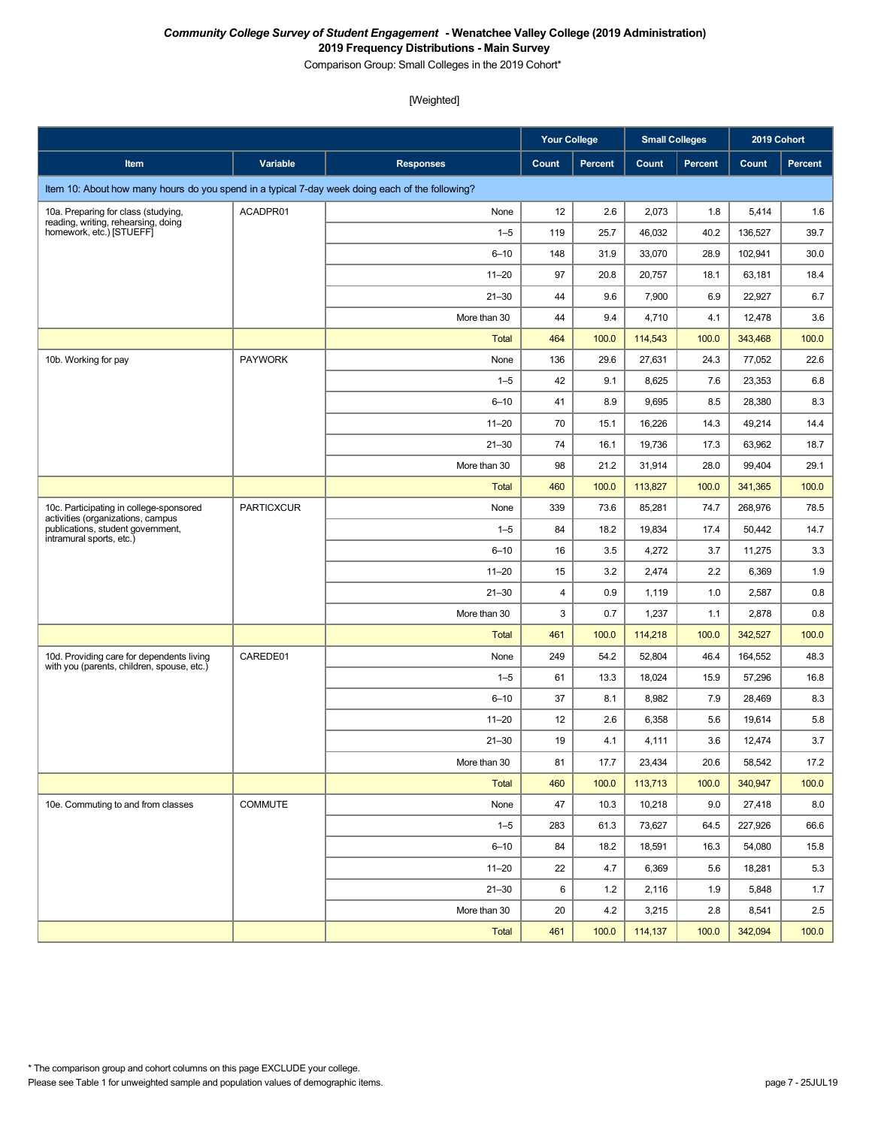Comparison Group: Small Colleges in the 2019 Cohort\*

|                                                                                                                                               |                |                  | <b>Your College</b> |         | <b>Small Colleges</b> |                | 2019 Cohort |         |
|-----------------------------------------------------------------------------------------------------------------------------------------------|----------------|------------------|---------------------|---------|-----------------------|----------------|-------------|---------|
| Item                                                                                                                                          | Variable       | <b>Responses</b> | Count               | Percent | Count                 | <b>Percent</b> | Count       | Percent |
| Item 10: About how many hours do you spend in a typical 7-day week doing each of the following?                                               |                |                  |                     |         |                       |                |             |         |
| 10a. Preparing for class (studying,                                                                                                           | ACADPR01       | None             | 12                  | 2.6     | 2,073                 | 1.8            | 5,414       | 1.6     |
| reading, writing, rehearsing, doing<br>homework, etc.) [STUEFF]                                                                               |                | $1 - 5$          | 119                 | 25.7    | 46,032                | 40.2           | 136,527     | 39.7    |
|                                                                                                                                               |                | $6 - 10$         | 148                 | 31.9    | 33,070                | 28.9           | 102,941     | 30.0    |
|                                                                                                                                               |                | $11 - 20$        | 97                  | 20.8    | 20,757                | 18.1           | 63,181      | 18.4    |
|                                                                                                                                               |                | $21 - 30$        | 44                  | 9.6     | 7,900                 | 6.9            | 22,927      | 6.7     |
|                                                                                                                                               |                | More than 30     | 44                  | 9.4     | 4,710                 | 4.1            | 12,478      | 3.6     |
|                                                                                                                                               |                | <b>Total</b>     | 464                 | 100.0   | 114,543               | 100.0          | 343,468     | 100.0   |
| 10b. Working for pay                                                                                                                          | <b>PAYWORK</b> | None             | 136                 | 29.6    | 27,631                | 24.3           | 77,052      | 22.6    |
|                                                                                                                                               |                | $1 - 5$          | 42                  | 9.1     | 8,625                 | 7.6            | 23,353      | 6.8     |
|                                                                                                                                               |                | $6 - 10$         | 41                  | 8.9     | 9,695                 | 8.5            | 28,380      | 8.3     |
|                                                                                                                                               |                | $11 - 20$        | 70                  | 15.1    | 16,226                | 14.3           | 49,214      | 14.4    |
|                                                                                                                                               |                | $21 - 30$        | 74                  | 16.1    | 19,736                | 17.3           | 63,962      | 18.7    |
|                                                                                                                                               |                | More than 30     | 98                  | 21.2    | 31,914                | 28.0           | 99,404      | 29.1    |
|                                                                                                                                               |                | <b>Total</b>     | 460                 | 100.0   | 113,827               | 100.0          | 341,365     | 100.0   |
| 10c. Participating in college-sponsored<br>activities (organizations, campus<br>publications, student government,<br>intramural sports, etc.) | PARTICXCUR     | None             | 339                 | 73.6    | 85,281                | 74.7           | 268,976     | 78.5    |
|                                                                                                                                               |                | $1 - 5$          | 84                  | 18.2    | 19,834                | 17.4           | 50,442      | 14.7    |
|                                                                                                                                               |                | $6 - 10$         | 16                  | 3.5     | 4,272                 | 3.7            | 11,275      | 3.3     |
|                                                                                                                                               |                | $11 - 20$        | 15                  | 3.2     | 2,474                 | 2.2            | 6,369       | 1.9     |
|                                                                                                                                               |                | $21 - 30$        | 4                   | 0.9     | 1,119                 | 1.0            | 2,587       | 0.8     |
|                                                                                                                                               |                | More than 30     | 3                   | 0.7     | 1,237                 | 1.1            | 2,878       | 0.8     |
|                                                                                                                                               |                | <b>Total</b>     | 461                 | 100.0   | 114,218               | 100.0          | 342,527     | 100.0   |
| 10d. Providing care for dependents living<br>with you (parents, children, spouse, etc.)                                                       | CAREDE01       | None             | 249                 | 54.2    | 52,804                | 46.4           | 164,552     | 48.3    |
|                                                                                                                                               |                | $1 - 5$          | 61                  | 13.3    | 18,024                | 15.9           | 57,296      | 16.8    |
|                                                                                                                                               |                | $6 - 10$         | 37                  | 8.1     | 8,982                 | 7.9            | 28,469      | 8.3     |
|                                                                                                                                               |                | $11 - 20$        | 12                  | 2.6     | 6,358                 | 5.6            | 19,614      | 5.8     |
|                                                                                                                                               |                | $21 - 30$        | 19                  | 4.1     | 4,111                 | 3.6            | 12,474      | 3.7     |
|                                                                                                                                               |                | More than 30     | 81                  | 17.7    | 23,434                | 20.6           | 58,542      | 17.2    |
|                                                                                                                                               |                | Total            | 460                 | 100.0   | 113,713               | 100.0          | 340,947     | 100.0   |
| 10e. Commuting to and from classes                                                                                                            | <b>COMMUTE</b> | None             | 47                  | 10.3    | 10,218                | 9.0            | 27,418      | 8.0     |
|                                                                                                                                               |                | $1 - 5$          | 283                 | 61.3    | 73,627                | 64.5           | 227,926     | 66.6    |
|                                                                                                                                               |                | $6 - 10$         | 84                  | 18.2    | 18,591                | 16.3           | 54,080      | 15.8    |
|                                                                                                                                               |                | $11 - 20$        | 22                  | 4.7     | 6,369                 | 5.6            | 18,281      | 5.3     |
|                                                                                                                                               |                | $21 - 30$        | 6                   | 1.2     | 2,116                 | 1.9            | 5,848       | 1.7     |
|                                                                                                                                               |                | More than 30     | 20                  | 4.2     | 3,215                 | 2.8            | 8,541       | 2.5     |
|                                                                                                                                               |                | Total            | 461                 | 100.0   | 114,137               | 100.0          | 342,094     | 100.0   |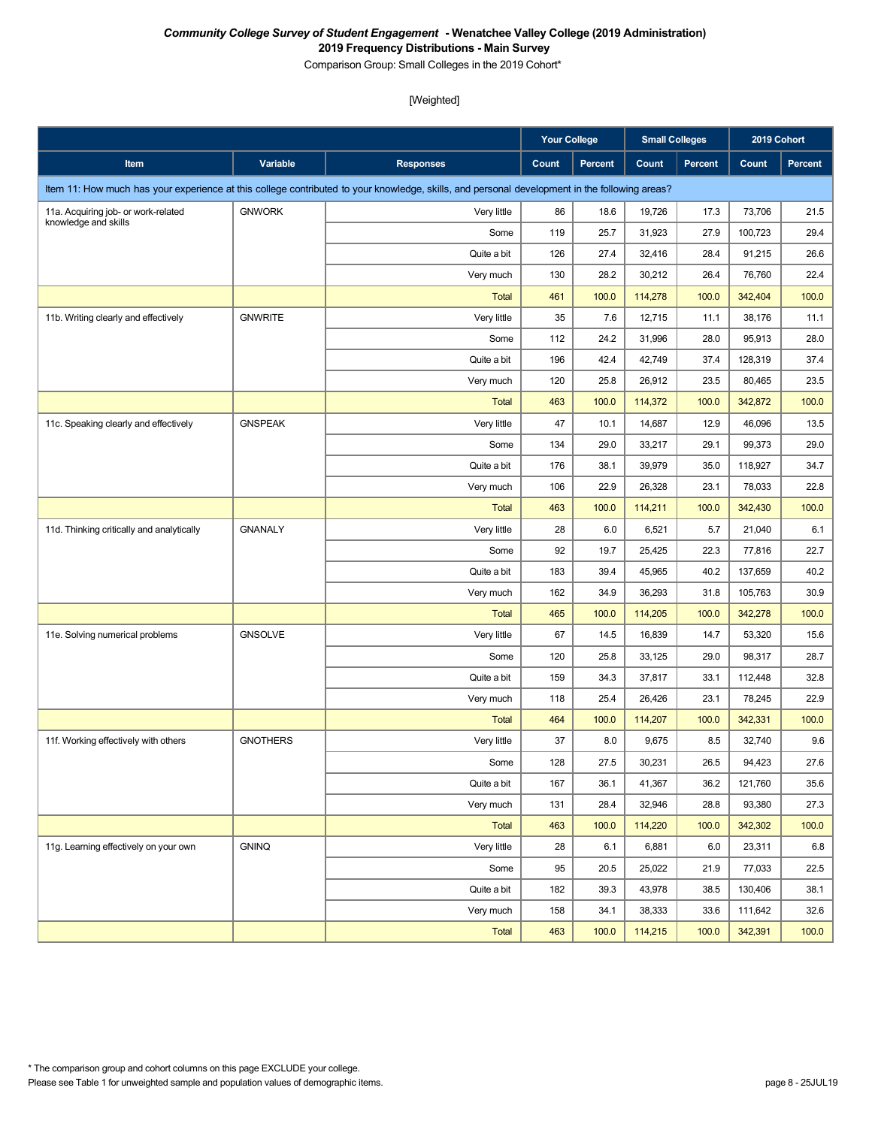Comparison Group: Small Colleges in the 2019 Cohort\*

|                                           |                 |                                                                                                                                               | <b>Your College</b> |         | <b>Small Colleges</b> |                | 2019 Cohort |         |
|-------------------------------------------|-----------------|-----------------------------------------------------------------------------------------------------------------------------------------------|---------------------|---------|-----------------------|----------------|-------------|---------|
| Item                                      | Variable        | <b>Responses</b>                                                                                                                              | Count               | Percent | Count                 | <b>Percent</b> | Count       | Percent |
|                                           |                 | Item 11: How much has your experience at this college contributed to your knowledge, skills, and personal development in the following areas? |                     |         |                       |                |             |         |
| 11a. Acquiring job- or work-related       | <b>GNWORK</b>   | Very little                                                                                                                                   | 86                  | 18.6    | 19,726                | 17.3           | 73,706      | 21.5    |
| knowledge and skills                      |                 | Some                                                                                                                                          | 119                 | 25.7    | 31,923                | 27.9           | 100,723     | 29.4    |
|                                           |                 | Quite a bit                                                                                                                                   | 126                 | 27.4    | 32,416                | 28.4           | 91,215      | 26.6    |
|                                           |                 | Very much                                                                                                                                     | 130                 | 28.2    | 30,212                | 26.4           | 76,760      | 22.4    |
|                                           |                 | <b>Total</b>                                                                                                                                  | 461                 | 100.0   | 114,278               | 100.0          | 342,404     | 100.0   |
| 11b. Writing clearly and effectively      | <b>GNWRITE</b>  | Very little                                                                                                                                   | 35                  | 7.6     | 12,715                | 11.1           | 38,176      | 11.1    |
|                                           |                 | Some                                                                                                                                          | 112                 | 24.2    | 31,996                | 28.0           | 95,913      | 28.0    |
|                                           |                 | Quite a bit                                                                                                                                   | 196                 | 42.4    | 42,749                | 37.4           | 128,319     | 37.4    |
|                                           |                 | Very much                                                                                                                                     | 120                 | 25.8    | 26,912                | 23.5           | 80,465      | 23.5    |
|                                           |                 | <b>Total</b>                                                                                                                                  | 463                 | 100.0   | 114,372               | 100.0          | 342,872     | 100.0   |
| 11c. Speaking clearly and effectively     | <b>GNSPEAK</b>  | Very little                                                                                                                                   | 47                  | 10.1    | 14,687                | 12.9           | 46,096      | 13.5    |
|                                           |                 | Some                                                                                                                                          | 134                 | 29.0    | 33,217                | 29.1           | 99,373      | 29.0    |
|                                           |                 | Quite a bit                                                                                                                                   | 176                 | 38.1    | 39,979                | 35.0           | 118,927     | 34.7    |
|                                           |                 | Very much                                                                                                                                     | 106                 | 22.9    | 26,328                | 23.1           | 78,033      | 22.8    |
|                                           |                 | <b>Total</b>                                                                                                                                  | 463                 | 100.0   | 114,211               | 100.0          | 342,430     | 100.0   |
| 11d. Thinking critically and analytically | <b>GNANALY</b>  | Very little                                                                                                                                   | 28                  | 6.0     | 6,521                 | 5.7            | 21,040      | 6.1     |
|                                           |                 | Some                                                                                                                                          | 92                  | 19.7    | 25,425                | 22.3           | 77,816      | 22.7    |
|                                           |                 | Quite a bit                                                                                                                                   | 183                 | 39.4    | 45,965                | 40.2           | 137,659     | 40.2    |
|                                           |                 | Very much                                                                                                                                     | 162                 | 34.9    | 36,293                | 31.8           | 105,763     | 30.9    |
|                                           |                 | <b>Total</b>                                                                                                                                  | 465                 | 100.0   | 114,205               | 100.0          | 342,278     | 100.0   |
| 11e. Solving numerical problems           | <b>GNSOLVE</b>  | Very little                                                                                                                                   | 67                  | 14.5    | 16,839                | 14.7           | 53,320      | 15.6    |
|                                           |                 | Some                                                                                                                                          | 120                 | 25.8    | 33,125                | 29.0           | 98,317      | 28.7    |
|                                           |                 | Quite a bit                                                                                                                                   | 159                 | 34.3    | 37,817                | 33.1           | 112,448     | 32.8    |
|                                           |                 | Very much                                                                                                                                     | 118                 | 25.4    | 26,426                | 23.1           | 78,245      | 22.9    |
|                                           |                 | <b>Total</b>                                                                                                                                  | 464                 | 100.0   | 114,207               | 100.0          | 342,331     | 100.0   |
| 11f. Working effectively with others      | <b>GNOTHERS</b> | Very little                                                                                                                                   | 37                  | 8.0     | 9,675                 | 8.5            | 32,740      | 9.6     |
|                                           |                 | Some                                                                                                                                          | 128                 | 27.5    | 30,231                | 26.5           | 94,423      | 27.6    |
|                                           |                 | Quite a bit                                                                                                                                   | 167                 | 36.1    | 41,367                | 36.2           | 121,760     | 35.6    |
|                                           |                 | Very much                                                                                                                                     | 131                 | 28.4    | 32,946                | 28.8           | 93,380      | 27.3    |
|                                           |                 | <b>Total</b>                                                                                                                                  | 463                 | 100.0   | 114,220               | 100.0          | 342,302     | 100.0   |
| 11g. Learning effectively on your own     | <b>GNINQ</b>    | Very little                                                                                                                                   | 28                  | 6.1     | 6,881                 | 6.0            | 23,311      | 6.8     |
|                                           |                 | Some                                                                                                                                          | 95                  | 20.5    | 25,022                | 21.9           | 77,033      | 22.5    |
|                                           |                 | Quite a bit                                                                                                                                   | 182                 | 39.3    | 43,978                | 38.5           | 130,406     | 38.1    |
|                                           |                 | Very much                                                                                                                                     | 158                 | 34.1    | 38,333                | 33.6           | 111,642     | 32.6    |
|                                           |                 | <b>Total</b>                                                                                                                                  | 463                 | 100.0   | 114,215               | 100.0          | 342,391     | 100.0   |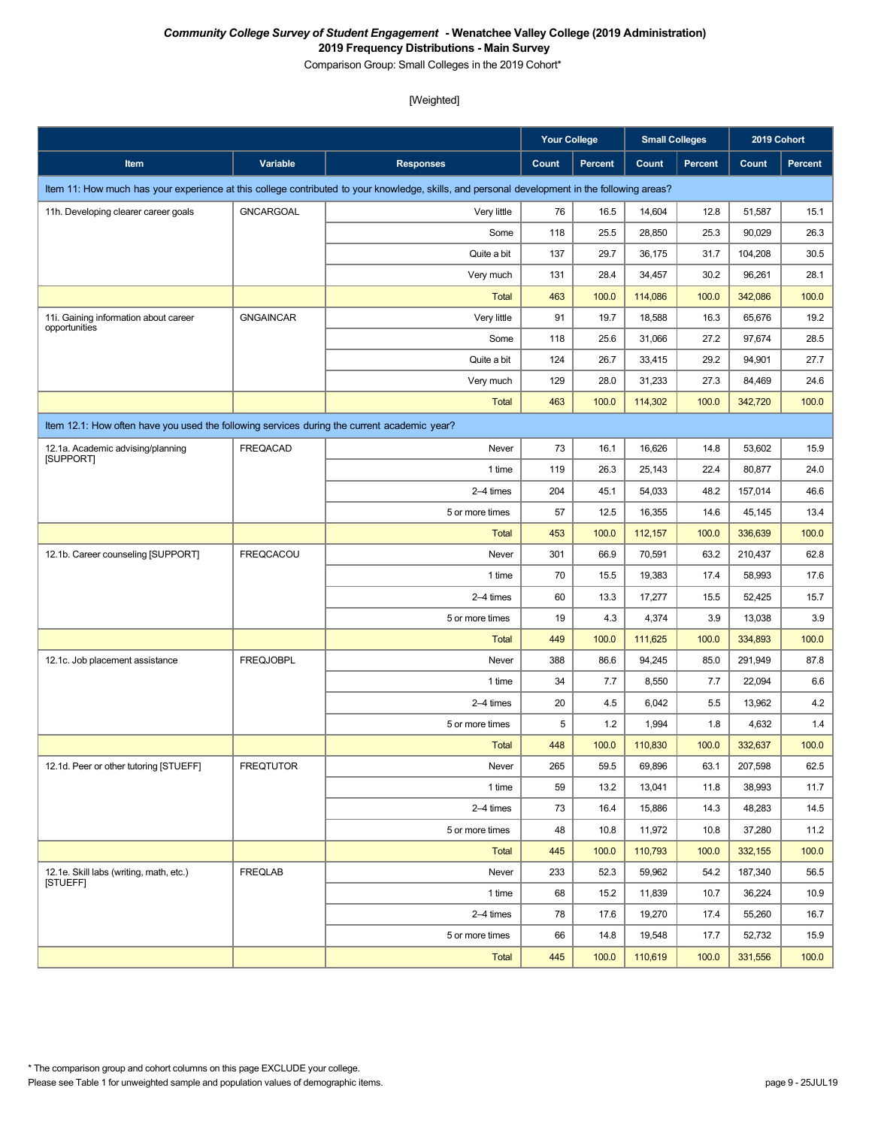Comparison Group: Small Colleges in the 2019 Cohort\*

|                                                                                             |                  |                                                                                                                                               | <b>Your College</b> |                | <b>Small Colleges</b> |                | 2019 Cohort |                |  |
|---------------------------------------------------------------------------------------------|------------------|-----------------------------------------------------------------------------------------------------------------------------------------------|---------------------|----------------|-----------------------|----------------|-------------|----------------|--|
| Item                                                                                        | Variable         | <b>Responses</b>                                                                                                                              | Count               | <b>Percent</b> | Count                 | <b>Percent</b> | Count       | <b>Percent</b> |  |
|                                                                                             |                  | Item 11: How much has your experience at this college contributed to your knowledge, skills, and personal development in the following areas? |                     |                |                       |                |             |                |  |
| 11h. Developing clearer career goals                                                        | <b>GNCARGOAL</b> | Very little                                                                                                                                   | 76                  | 16.5           | 14,604                | 12.8           | 51,587      | 15.1           |  |
|                                                                                             |                  | Some                                                                                                                                          | 118                 | 25.5           | 28,850                | 25.3           | 90,029      | 26.3           |  |
|                                                                                             |                  | Quite a bit                                                                                                                                   | 137                 | 29.7           | 36,175                | 31.7           | 104,208     | 30.5           |  |
|                                                                                             |                  | Very much                                                                                                                                     | 131                 | 28.4           | 34,457                | 30.2           | 96,261      | 28.1           |  |
|                                                                                             |                  | <b>Total</b>                                                                                                                                  | 463                 | 100.0          | 114,086               | 100.0          | 342,086     | 100.0          |  |
| 11i. Gaining information about career<br>opportunities                                      | <b>GNGAINCAR</b> | Very little                                                                                                                                   | 91                  | 19.7           | 18,588                | 16.3           | 65,676      | 19.2           |  |
|                                                                                             |                  | Some                                                                                                                                          | 118                 | 25.6           | 31,066                | 27.2           | 97,674      | 28.5           |  |
|                                                                                             |                  | Quite a bit                                                                                                                                   | 124                 | 26.7           | 33,415                | 29.2           | 94,901      | 27.7           |  |
|                                                                                             |                  | Very much                                                                                                                                     | 129                 | 28.0           | 31,233                | 27.3           | 84,469      | 24.6           |  |
|                                                                                             |                  | <b>Total</b>                                                                                                                                  | 463                 | 100.0          | 114,302               | 100.0          | 342,720     | 100.0          |  |
| Item 12.1: How often have you used the following services during the current academic year? |                  |                                                                                                                                               |                     |                |                       |                |             |                |  |
| 12.1a. Academic advising/planning<br><b>ISUPPORTI</b>                                       | <b>FREQACAD</b>  | Never                                                                                                                                         | 73                  | 16.1           | 16,626                | 14.8           | 53,602      | 15.9           |  |
|                                                                                             |                  | 1 time                                                                                                                                        | 119                 | 26.3           | 25,143                | 22.4           | 80,877      | 24.0           |  |
|                                                                                             |                  | 2-4 times                                                                                                                                     | 204                 | 45.1           | 54,033                | 48.2           | 157,014     | 46.6           |  |
|                                                                                             |                  | 5 or more times                                                                                                                               | 57                  | 12.5           | 16,355                | 14.6           | 45,145      | 13.4           |  |
|                                                                                             |                  | <b>Total</b>                                                                                                                                  | 453                 | 100.0          | 112,157               | 100.0          | 336,639     | 100.0          |  |
| 12.1b. Career counseling [SUPPORT]                                                          | <b>FREQCACOU</b> | Never                                                                                                                                         | 301                 | 66.9           | 70,591                | 63.2           | 210,437     | 62.8           |  |
|                                                                                             |                  | 1 time                                                                                                                                        | 70                  | 15.5           | 19,383                | 17.4           | 58,993      | 17.6           |  |
|                                                                                             |                  | 2-4 times                                                                                                                                     | 60                  | 13.3           | 17,277                | 15.5           | 52,425      | 15.7           |  |
|                                                                                             |                  | 5 or more times                                                                                                                               | 19                  | 4.3            | 4,374                 | 3.9            | 13,038      | 3.9            |  |
|                                                                                             |                  | <b>Total</b>                                                                                                                                  | 449                 | 100.0          | 111,625               | 100.0          | 334,893     | 100.0          |  |
| 12.1c. Job placement assistance                                                             | <b>FREQJOBPL</b> | Never                                                                                                                                         | 388                 | 86.6           | 94,245                | 85.0           | 291,949     | 87.8           |  |
|                                                                                             |                  | 1 time                                                                                                                                        | 34                  | 7.7            | 8,550                 | 7.7            | 22,094      | 6.6            |  |
|                                                                                             |                  | 2-4 times                                                                                                                                     | 20                  | 4.5            | 6,042                 | 5.5            | 13,962      | 4.2            |  |
|                                                                                             |                  | 5 or more times                                                                                                                               | 5                   | 1.2            | 1,994                 | 1.8            | 4,632       | 1.4            |  |
|                                                                                             |                  | <b>Total</b>                                                                                                                                  | 448                 | 100.0          | 110,830               | 100.0          | 332,637     | 100.0          |  |
| 12.1d. Peer or other tutoring [STUEFF]                                                      | <b>FREQTUTOR</b> | Never                                                                                                                                         | 265                 | 59.5           | 69,896                | 63.1           | 207,598     | 62.5           |  |
|                                                                                             |                  | 1 time                                                                                                                                        | 59                  | 13.2           | 13,041                | 11.8           | 38,993      | 11.7           |  |
|                                                                                             |                  | 2-4 times                                                                                                                                     | 73                  | 16.4           | 15,886                | 14.3           | 48,283      | 14.5           |  |
|                                                                                             |                  | 5 or more times                                                                                                                               | 48                  | 10.8           | 11,972                | 10.8           | 37,280      | 11.2           |  |
|                                                                                             |                  | Total                                                                                                                                         | 445                 | 100.0          | 110,793               | 100.0          | 332,155     | 100.0          |  |
| 12.1e. Skill labs (writing, math, etc.)<br><b>ISTUEFFI</b>                                  | <b>FREQLAB</b>   | Never                                                                                                                                         | 233                 | 52.3           | 59,962                | 54.2           | 187,340     | 56.5           |  |
|                                                                                             |                  | 1 time                                                                                                                                        | 68                  | 15.2           | 11,839                | 10.7           | 36,224      | 10.9           |  |
|                                                                                             |                  | 2-4 times                                                                                                                                     | 78                  | 17.6           | 19,270                | 17.4           | 55,260      | 16.7           |  |
|                                                                                             |                  | 5 or more times                                                                                                                               | 66                  | 14.8           | 19,548                | 17.7           | 52,732      | 15.9           |  |
|                                                                                             |                  | Total                                                                                                                                         | 445                 | 100.0          | 110,619               | 100.0          | 331,556     | 100.0          |  |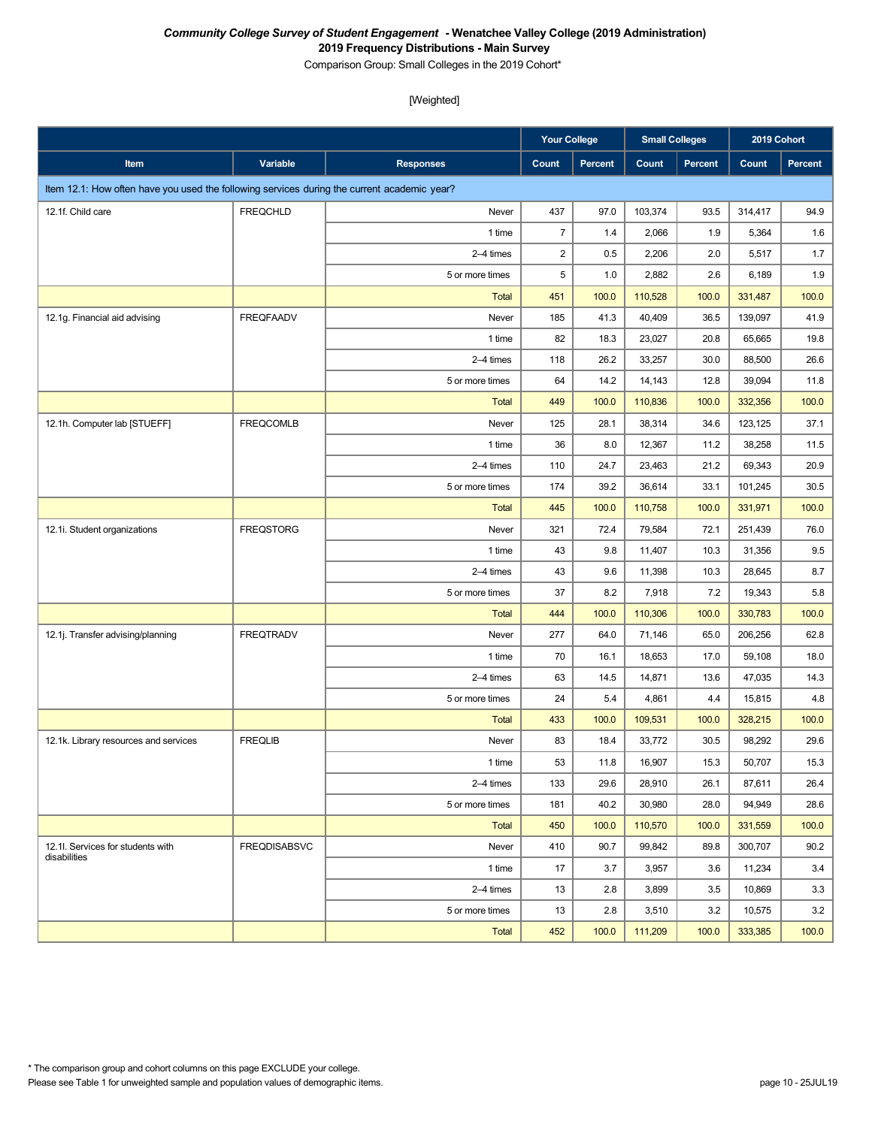Comparison Group: Small Colleges in the 2019 Cohort\*

|                                                                                             |                     |                  | <b>Your College</b>     |         | <b>Small Colleges</b> |         | 2019 Cohort |         |
|---------------------------------------------------------------------------------------------|---------------------|------------------|-------------------------|---------|-----------------------|---------|-------------|---------|
| Item                                                                                        | Variable            | <b>Responses</b> | <b>Count</b>            | Percent | Count                 | Percent | Count       | Percent |
| Item 12.1: How often have you used the following services during the current academic year? |                     |                  |                         |         |                       |         |             |         |
| 12.1f. Child care                                                                           | <b>FREQCHLD</b>     | Never            | 437                     | 97.0    | 103,374               | 93.5    | 314,417     | 94.9    |
|                                                                                             |                     | 1 time           | $\overline{7}$          | 1.4     | 2,066                 | 1.9     | 5,364       | 1.6     |
|                                                                                             |                     | 2-4 times        | $\overline{\mathbf{c}}$ | 0.5     | 2,206                 | 2.0     | 5,517       | 1.7     |
|                                                                                             |                     | 5 or more times  | 5                       | 1.0     | 2,882                 | 2.6     | 6,189       | 1.9     |
|                                                                                             |                     | <b>Total</b>     | 451                     | 100.0   | 110,528               | 100.0   | 331,487     | 100.0   |
| 12.1g. Financial aid advising                                                               | <b>FREQFAADV</b>    | Never            | 185                     | 41.3    | 40,409                | 36.5    | 139,097     | 41.9    |
|                                                                                             |                     | 1 time           | 82                      | 18.3    | 23,027                | 20.8    | 65,665      | 19.8    |
|                                                                                             |                     | 2-4 times        | 118                     | 26.2    | 33,257                | 30.0    | 88,500      | 26.6    |
|                                                                                             |                     | 5 or more times  | 64                      | 14.2    | 14,143                | 12.8    | 39,094      | 11.8    |
|                                                                                             |                     | <b>Total</b>     | 449                     | 100.0   | 110,836               | 100.0   | 332,356     | 100.0   |
| 12.1h. Computer lab [STUEFF]                                                                | <b>FREQCOMLB</b>    | Never            | 125                     | 28.1    | 38,314                | 34.6    | 123,125     | 37.1    |
|                                                                                             |                     | 1 time           | 36                      | 8.0     | 12,367                | 11.2    | 38,258      | 11.5    |
|                                                                                             |                     | 2-4 times        | 110                     | 24.7    | 23,463                | 21.2    | 69,343      | 20.9    |
|                                                                                             |                     | 5 or more times  | 174                     | 39.2    | 36,614                | 33.1    | 101,245     | 30.5    |
|                                                                                             |                     | <b>Total</b>     | 445                     | 100.0   | 110,758               | 100.0   | 331,971     | 100.0   |
| 12.1i. Student organizations                                                                | <b>FREQSTORG</b>    | Never            | 321                     | 72.4    | 79,584                | 72.1    | 251,439     | 76.0    |
|                                                                                             |                     | 1 time           | 43                      | 9.8     | 11,407                | 10.3    | 31,356      | 9.5     |
|                                                                                             |                     | 2-4 times        | 43                      | 9.6     | 11,398                | 10.3    | 28,645      | 8.7     |
|                                                                                             |                     | 5 or more times  | 37                      | 8.2     | 7,918                 | 7.2     | 19,343      | 5.8     |
|                                                                                             |                     | <b>Total</b>     | 444                     | 100.0   | 110,306               | 100.0   | 330,783     | 100.0   |
| 12.1j. Transfer advising/planning                                                           | <b>FREQTRADV</b>    | Never            | 277                     | 64.0    | 71,146                | 65.0    | 206,256     | 62.8    |
|                                                                                             |                     | 1 time           | 70                      | 16.1    | 18,653                | 17.0    | 59,108      | 18.0    |
|                                                                                             |                     | 2-4 times        | 63                      | 14.5    | 14,871                | 13.6    | 47,035      | 14.3    |
|                                                                                             |                     | 5 or more times  | 24                      | 5.4     | 4,861                 | 4.4     | 15,815      | 4.8     |
|                                                                                             |                     | <b>Total</b>     | 433                     | 100.0   | 109,531               | 100.0   | 328,215     | 100.0   |
| 12.1k. Library resources and services                                                       | <b>FREQLIB</b>      | Never            | 83                      | 18.4    | 33,772                | 30.5    | 98,292      | 29.6    |
|                                                                                             |                     | 1 time           | 53                      | 11.8    | 16,907                | 15.3    | 50,707      | 15.3    |
|                                                                                             |                     | 2-4 times        | 133                     | 29.6    | 28,910                | 26.1    | 87,611      | 26.4    |
|                                                                                             |                     | 5 or more times  | 181                     | 40.2    | 30,980                | 28.0    | 94,949      | 28.6    |
|                                                                                             |                     | Total            | 450                     | 100.0   | 110,570               | 100.0   | 331,559     | 100.0   |
| 12.1I. Services for students with<br>disabilities                                           | <b>FREQDISABSVC</b> | Never            | 410                     | 90.7    | 99,842                | 89.8    | 300,707     | 90.2    |
|                                                                                             |                     | 1 time           | 17                      | 3.7     | 3,957                 | 3.6     | 11,234      | 3.4     |
|                                                                                             |                     | 2-4 times        | 13                      | 2.8     | 3,899                 | 3.5     | 10,869      | 3.3     |
|                                                                                             |                     | 5 or more times  | 13                      | 2.8     | 3,510                 | 3.2     | 10,575      | 3.2     |
|                                                                                             |                     | <b>Total</b>     | 452                     | 100.0   | 111,209               | 100.0   | 333,385     | 100.0   |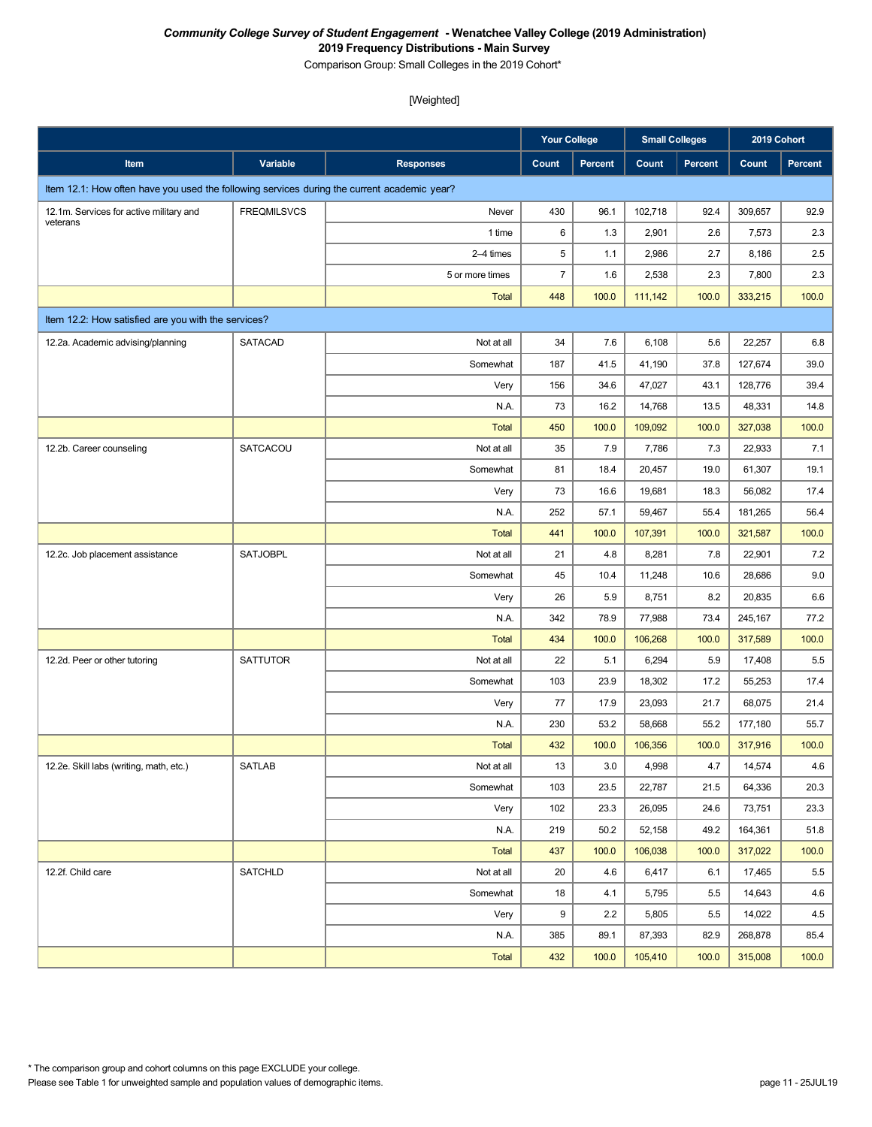Comparison Group: Small Colleges in the 2019 Cohort\*

|                                                                                             |                    |                  | <b>Your College</b> |         | <b>Small Colleges</b> |                | 2019 Cohort |         |
|---------------------------------------------------------------------------------------------|--------------------|------------------|---------------------|---------|-----------------------|----------------|-------------|---------|
| Item                                                                                        | <b>Variable</b>    | <b>Responses</b> | Count               | Percent | Count                 | <b>Percent</b> | Count       | Percent |
| Item 12.1: How often have you used the following services during the current academic year? |                    |                  |                     |         |                       |                |             |         |
| 12.1m. Services for active military and                                                     | <b>FREQMILSVCS</b> | Never            | 430                 | 96.1    | 102,718               | 92.4           | 309,657     | 92.9    |
| veterans                                                                                    |                    | 1 time           | 6                   | 1.3     | 2,901                 | 2.6            | 7,573       | 2.3     |
|                                                                                             |                    | 2-4 times        | 5                   | 1.1     | 2,986                 | 2.7            | 8,186       | 2.5     |
|                                                                                             |                    | 5 or more times  | $\overline{7}$      | 1.6     | 2,538                 | 2.3            | 7,800       | 2.3     |
|                                                                                             |                    | <b>Total</b>     | 448                 | 100.0   | 111,142               | 100.0          | 333,215     | 100.0   |
| Item 12.2: How satisfied are you with the services?                                         |                    |                  |                     |         |                       |                |             |         |
| 12.2a. Academic advising/planning                                                           | <b>SATACAD</b>     | Not at all       | 34                  | 7.6     | 6,108                 | 5.6            | 22,257      | 6.8     |
|                                                                                             |                    | Somewhat         | 187                 | 41.5    | 41,190                | 37.8           | 127,674     | 39.0    |
|                                                                                             |                    | Very             | 156                 | 34.6    | 47,027                | 43.1           | 128,776     | 39.4    |
|                                                                                             |                    | N.A.             | 73                  | 16.2    | 14,768                | 13.5           | 48,331      | 14.8    |
|                                                                                             |                    | <b>Total</b>     | 450                 | 100.0   | 109,092               | 100.0          | 327,038     | 100.0   |
| 12.2b. Career counseling                                                                    | SATCACOU           | Not at all       | 35                  | 7.9     | 7,786                 | 7.3            | 22,933      | 7.1     |
|                                                                                             |                    | Somewhat         | 81                  | 18.4    | 20,457                | 19.0           | 61,307      | 19.1    |
|                                                                                             |                    | Very             | 73                  | 16.6    | 19,681                | 18.3           | 56,082      | 17.4    |
|                                                                                             |                    | N.A.             | 252                 | 57.1    | 59,467                | 55.4           | 181,265     | 56.4    |
|                                                                                             |                    | <b>Total</b>     | 441                 | 100.0   | 107,391               | 100.0          | 321,587     | 100.0   |
| 12.2c. Job placement assistance                                                             | <b>SATJOBPL</b>    | Not at all       | 21                  | 4.8     | 8,281                 | 7.8            | 22,901      | 7.2     |
|                                                                                             |                    | Somewhat         | 45                  | 10.4    | 11,248                | 10.6           | 28,686      | 9.0     |
|                                                                                             |                    | Very             | 26                  | 5.9     | 8,751                 | 8.2            | 20,835      | 6.6     |
|                                                                                             |                    | N.A.             | 342                 | 78.9    | 77,988                | 73.4           | 245,167     | 77.2    |
|                                                                                             |                    | <b>Total</b>     | 434                 | 100.0   | 106,268               | 100.0          | 317,589     | 100.0   |
| 12.2d. Peer or other tutoring                                                               | SATTUTOR           | Not at all       | 22                  | 5.1     | 6,294                 | 5.9            | 17,408      | 5.5     |
|                                                                                             |                    | Somewhat         | 103                 | 23.9    | 18,302                | 17.2           | 55,253      | 17.4    |
|                                                                                             |                    | Very             | 77                  | 17.9    | 23,093                | 21.7           | 68,075      | 21.4    |
|                                                                                             |                    | N.A.             | 230                 | 53.2    | 58,668                | 55.2           | 177,180     | 55.7    |
|                                                                                             |                    | <b>Total</b>     | 432                 | 100.0   | 106,356               | 100.0          | 317,916     | 100.0   |
| 12.2e. Skill labs (writing, math, etc.)                                                     | <b>SATLAB</b>      | Not at all       | 13                  | 3.0     | 4,998                 | 4.7            | 14,574      | 4.6     |
|                                                                                             |                    | Somewhat         | 103                 | 23.5    | 22,787                | 21.5           | 64,336      | 20.3    |
|                                                                                             |                    | Very             | 102                 | 23.3    | 26,095                | 24.6           | 73,751      | 23.3    |
|                                                                                             |                    | N.A.             | 219                 | 50.2    | 52,158                | 49.2           | 164,361     | 51.8    |
|                                                                                             |                    | Total            | 437                 | 100.0   | 106,038               | 100.0          | 317,022     | 100.0   |
| 12.2f. Child care                                                                           | <b>SATCHLD</b>     | Not at all       | 20                  | 4.6     | 6,417                 | 6.1            | 17,465      | 5.5     |
|                                                                                             |                    | Somewhat         | 18                  | 4.1     | 5,795                 | 5.5            | 14,643      | 4.6     |
|                                                                                             |                    | Very             | 9                   | 2.2     | 5,805                 | 5.5            | 14,022      | 4.5     |
|                                                                                             |                    | N.A.             | 385                 | 89.1    | 87,393                | 82.9           | 268,878     | 85.4    |
|                                                                                             |                    | Total            | 432                 | 100.0   | 105,410               | 100.0          | 315,008     | 100.0   |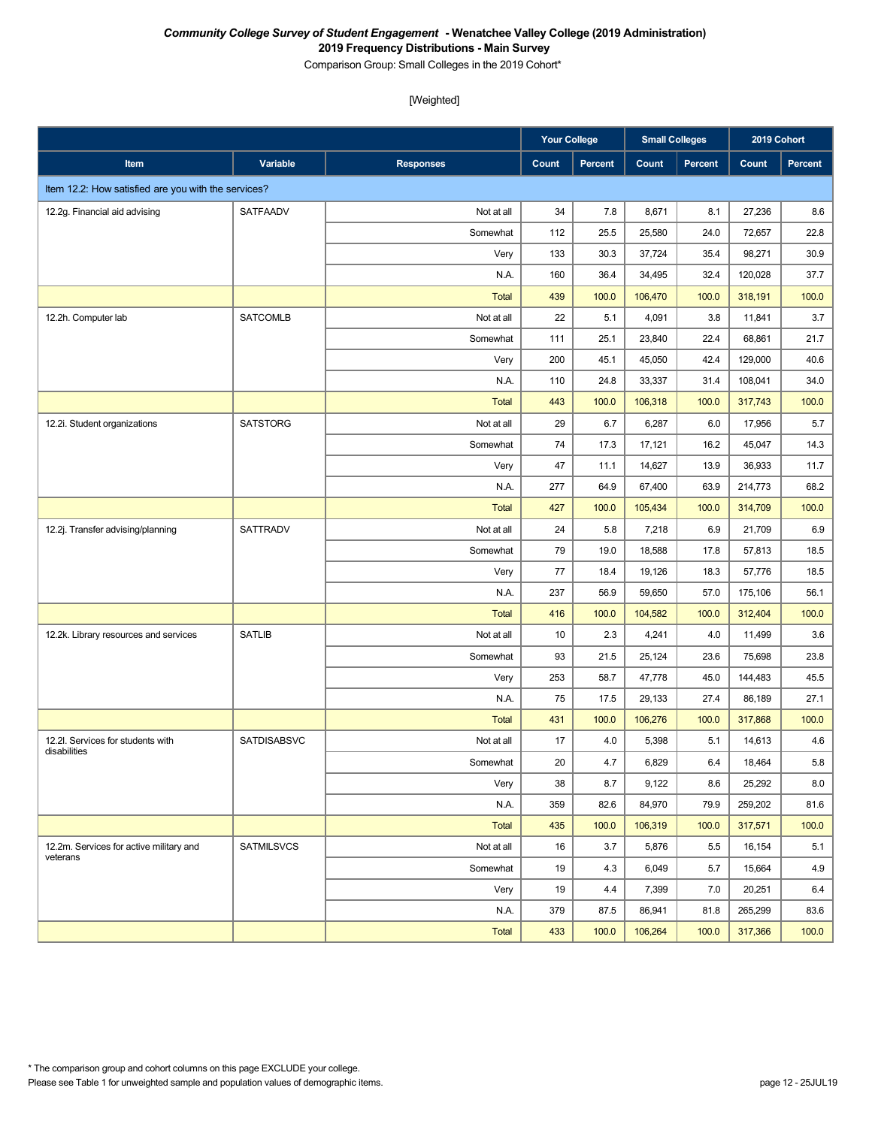Comparison Group: Small Colleges in the 2019 Cohort\*

|                                                     |                    |                  | <b>Your College</b> |         | <b>Small Colleges</b> |                | 2019 Cohort |                |
|-----------------------------------------------------|--------------------|------------------|---------------------|---------|-----------------------|----------------|-------------|----------------|
| Item                                                | Variable           | <b>Responses</b> | Count               | Percent | Count                 | <b>Percent</b> | Count       | <b>Percent</b> |
| Item 12.2: How satisfied are you with the services? |                    |                  |                     |         |                       |                |             |                |
| 12.2g. Financial aid advising                       | SATFAADV           | Not at all       | 34                  | 7.8     | 8,671                 | 8.1            | 27,236      | 8.6            |
|                                                     |                    | Somewhat         | 112                 | 25.5    | 25,580                | 24.0           | 72,657      | 22.8           |
|                                                     |                    | Very             | 133                 | 30.3    | 37,724                | 35.4           | 98,271      | 30.9           |
|                                                     |                    | N.A.             | 160                 | 36.4    | 34,495                | 32.4           | 120,028     | 37.7           |
|                                                     |                    | <b>Total</b>     | 439                 | 100.0   | 106,470               | 100.0          | 318,191     | 100.0          |
| 12.2h. Computer lab                                 | <b>SATCOMLB</b>    | Not at all       | 22                  | 5.1     | 4,091                 | 3.8            | 11,841      | 3.7            |
|                                                     |                    | Somewhat         | 111                 | 25.1    | 23,840                | 22.4           | 68,861      | 21.7           |
|                                                     |                    | Very             | 200                 | 45.1    | 45,050                | 42.4           | 129,000     | 40.6           |
|                                                     |                    | N.A.             | 110                 | 24.8    | 33,337                | 31.4           | 108,041     | 34.0           |
|                                                     |                    | <b>Total</b>     | 443                 | 100.0   | 106,318               | 100.0          | 317,743     | 100.0          |
| 12.2i. Student organizations                        | <b>SATSTORG</b>    | Not at all       | 29                  | 6.7     | 6,287                 | 6.0            | 17,956      | 5.7            |
|                                                     |                    | Somewhat         | 74                  | 17.3    | 17,121                | 16.2           | 45,047      | 14.3           |
|                                                     |                    | Very             | 47                  | 11.1    | 14,627                | 13.9           | 36,933      | 11.7           |
|                                                     |                    | N.A.             | 277                 | 64.9    | 67,400                | 63.9           | 214,773     | 68.2           |
|                                                     |                    | <b>Total</b>     | 427                 | 100.0   | 105,434               | 100.0          | 314,709     | 100.0          |
| 12.2j. Transfer advising/planning                   | <b>SATTRADV</b>    | Not at all       | 24                  | 5.8     | 7,218                 | 6.9            | 21,709      | 6.9            |
|                                                     |                    | Somewhat         | 79                  | 19.0    | 18,588                | 17.8           | 57,813      | 18.5           |
|                                                     |                    | Very             | 77                  | 18.4    | 19,126                | 18.3           | 57,776      | 18.5           |
|                                                     |                    | N.A.             | 237                 | 56.9    | 59,650                | 57.0           | 175,106     | 56.1           |
|                                                     |                    | <b>Total</b>     | 416                 | 100.0   | 104,582               | 100.0          | 312,404     | 100.0          |
| 12.2k. Library resources and services               | <b>SATLIB</b>      | Not at all       | 10                  | 2.3     | 4,241                 | 4.0            | 11,499      | 3.6            |
|                                                     |                    | Somewhat         | 93                  | 21.5    | 25,124                | 23.6           | 75,698      | 23.8           |
|                                                     |                    | Very             | 253                 | 58.7    | 47,778                | 45.0           | 144,483     | 45.5           |
|                                                     |                    | N.A.             | 75                  | 17.5    | 29,133                | 27.4           | 86,189      | 27.1           |
|                                                     |                    | <b>Total</b>     | 431                 | 100.0   | 106,276               | 100.0          | 317,868     | 100.0          |
| 12.2l. Services for students with<br>disabilities   | <b>SATDISABSVC</b> | Not at all       | 17                  | 4.0     | 5,398                 | 5.1            | 14,613      | 4.6            |
|                                                     |                    | Somewhat         | $20\,$              | $4.7\,$ | 6,829                 | $6.4\,$        | 18,464      | $5.8\,$        |
|                                                     |                    | Very             | 38                  | 8.7     | 9,122                 | 8.6            | 25,292      | 8.0            |
|                                                     |                    | N.A.             | 359                 | 82.6    | 84,970                | 79.9           | 259,202     | 81.6           |
|                                                     |                    | <b>Total</b>     | 435                 | 100.0   | 106,319               | 100.0          | 317,571     | 100.0          |
| 12.2m. Services for active military and<br>veterans | <b>SATMILSVCS</b>  | Not at all       | 16                  | 3.7     | 5,876                 | 5.5            | 16,154      | 5.1            |
|                                                     |                    | Somewhat         | 19                  | 4.3     | 6,049                 | 5.7            | 15,664      | 4.9            |
|                                                     |                    | Very             | 19                  | 4.4     | 7,399                 | 7.0            | 20,251      | 6.4            |
|                                                     |                    | N.A.             | 379                 | 87.5    | 86,941                | 81.8           | 265,299     | 83.6           |
|                                                     |                    | Total            | 433                 | 100.0   | 106,264               | 100.0          | 317,366     | 100.0          |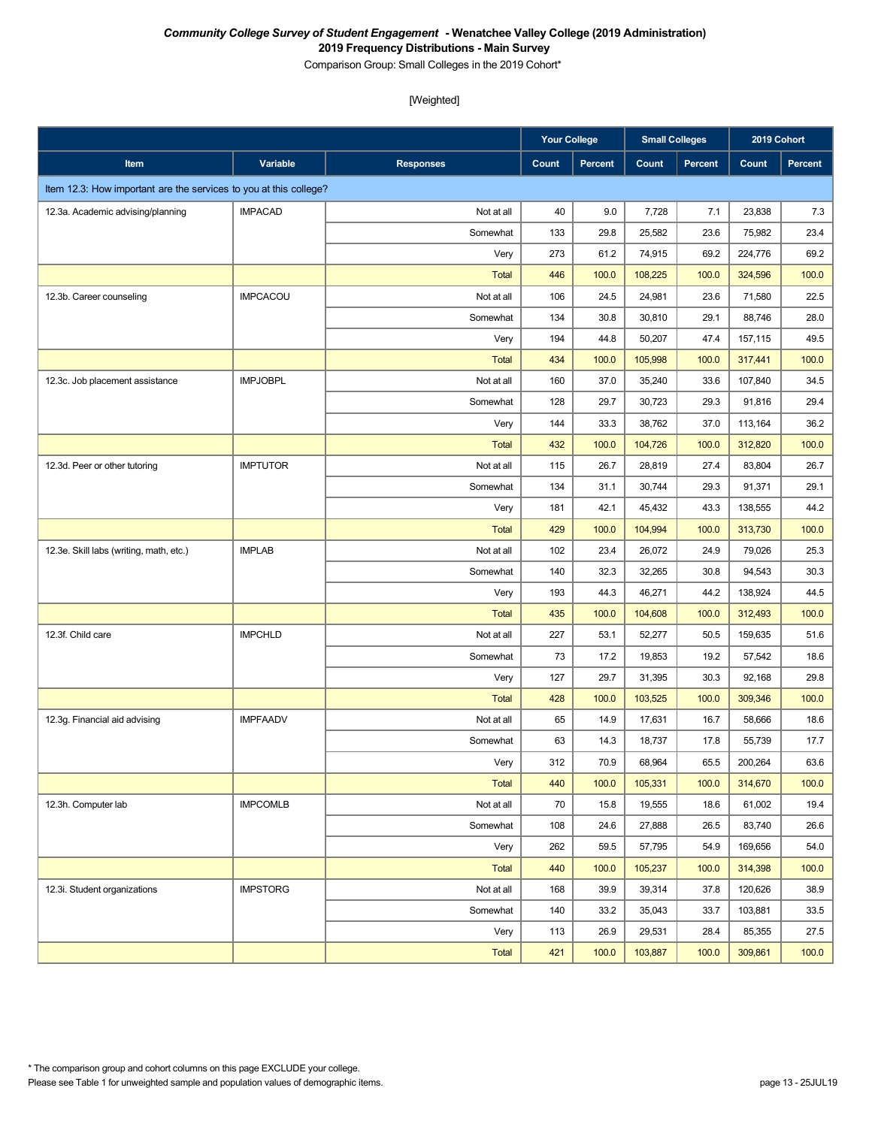Comparison Group: Small Colleges in the 2019 Cohort\*

|                                                                   |                 |                  | <b>Your College</b> |         | <b>Small Colleges</b> |                | 2019 Cohort |                |
|-------------------------------------------------------------------|-----------------|------------------|---------------------|---------|-----------------------|----------------|-------------|----------------|
| Item                                                              | Variable        | <b>Responses</b> | Count               | Percent | Count                 | <b>Percent</b> | Count       | <b>Percent</b> |
| Item 12.3: How important are the services to you at this college? |                 |                  |                     |         |                       |                |             |                |
| 12.3a. Academic advising/planning                                 | <b>IMPACAD</b>  | Not at all       | 40                  | 9.0     | 7,728                 | 7.1            | 23,838      | 7.3            |
|                                                                   |                 | Somewhat         | 133                 | 29.8    | 25,582                | 23.6           | 75,982      | 23.4           |
|                                                                   |                 | Very             | 273                 | 61.2    | 74,915                | 69.2           | 224,776     | 69.2           |
|                                                                   |                 | <b>Total</b>     | 446                 | 100.0   | 108,225               | 100.0          | 324,596     | 100.0          |
| 12.3b. Career counseling                                          | <b>IMPCACOU</b> | Not at all       | 106                 | 24.5    | 24,981                | 23.6           | 71,580      | 22.5           |
|                                                                   |                 | Somewhat         | 134                 | 30.8    | 30,810                | 29.1           | 88,746      | 28.0           |
|                                                                   |                 | Very             | 194                 | 44.8    | 50,207                | 47.4           | 157,115     | 49.5           |
|                                                                   |                 | <b>Total</b>     | 434                 | 100.0   | 105,998               | 100.0          | 317,441     | 100.0          |
| 12.3c. Job placement assistance                                   | <b>IMPJOBPL</b> | Not at all       | 160                 | 37.0    | 35,240                | 33.6           | 107,840     | 34.5           |
|                                                                   |                 | Somewhat         | 128                 | 29.7    | 30,723                | 29.3           | 91,816      | 29.4           |
|                                                                   |                 | Very             | 144                 | 33.3    | 38,762                | 37.0           | 113,164     | 36.2           |
|                                                                   |                 | <b>Total</b>     | 432                 | 100.0   | 104,726               | 100.0          | 312,820     | 100.0          |
| 12.3d. Peer or other tutoring                                     | <b>IMPTUTOR</b> | Not at all       | 115                 | 26.7    | 28,819                | 27.4           | 83,804      | 26.7           |
|                                                                   |                 | Somewhat         | 134                 | 31.1    | 30.744                | 29.3           | 91,371      | 29.1           |
|                                                                   |                 | Very             | 181                 | 42.1    | 45,432                | 43.3           | 138,555     | 44.2           |
|                                                                   |                 | <b>Total</b>     | 429                 | 100.0   | 104,994               | 100.0          | 313,730     | 100.0          |
| 12.3e. Skill labs (writing, math, etc.)                           | <b>IMPLAB</b>   | Not at all       | 102                 | 23.4    | 26,072                | 24.9           | 79,026      | 25.3           |
|                                                                   |                 | Somewhat         | 140                 | 32.3    | 32,265                | 30.8           | 94,543      | 30.3           |
|                                                                   |                 | Very             | 193                 | 44.3    | 46,271                | 44.2           | 138,924     | 44.5           |
|                                                                   |                 | <b>Total</b>     | 435                 | 100.0   | 104,608               | 100.0          | 312,493     | 100.0          |
| 12.3f. Child care                                                 | <b>IMPCHLD</b>  | Not at all       | 227                 | 53.1    | 52,277                | 50.5           | 159,635     | 51.6           |
|                                                                   |                 | Somewhat         | 73                  | 17.2    | 19,853                | 19.2           | 57,542      | 18.6           |
|                                                                   |                 | Very             | 127                 | 29.7    | 31,395                | 30.3           | 92,168      | 29.8           |
|                                                                   |                 | <b>Total</b>     | 428                 | 100.0   | 103,525               | 100.0          | 309,346     | 100.0          |
| 12.3g. Financial aid advising                                     | <b>IMPFAADV</b> | Not at all       | 65                  | 14.9    | 17,631                | 16.7           | 58,666      | 18.6           |
|                                                                   |                 | Somewhat         | 63                  | 14.3    | 18,737                | 17.8           | 55,739      | 17.7           |
|                                                                   |                 | Very             | 312                 | 70.9    | 68,964                | 65.5           | 200,264     | 63.6           |
|                                                                   |                 | <b>Total</b>     | 440                 | 100.0   | 105,331               | 100.0          | 314,670     | 100.0          |
| 12.3h. Computer lab                                               | <b>IMPCOMLB</b> | Not at all       | 70                  | 15.8    | 19,555                | 18.6           | 61,002      | 19.4           |
|                                                                   |                 | Somewhat         | 108                 | 24.6    | 27,888                | 26.5           | 83,740      | 26.6           |
|                                                                   |                 | Very             | 262                 | 59.5    | 57,795                | 54.9           | 169,656     | 54.0           |
|                                                                   |                 | Total            | 440                 | 100.0   | 105,237               | 100.0          | 314,398     | 100.0          |
| 12.3i. Student organizations                                      | <b>IMPSTORG</b> | Not at all       | 168                 | 39.9    | 39,314                | 37.8           | 120,626     | 38.9           |
|                                                                   |                 | Somewhat         | 140                 | 33.2    | 35,043                | 33.7           | 103,881     | 33.5           |
|                                                                   |                 | Very             | 113                 | 26.9    | 29,531                | 28.4           | 85,355      | 27.5           |
|                                                                   |                 | Total            | 421                 | 100.0   | 103,887               | 100.0          | 309,861     | 100.0          |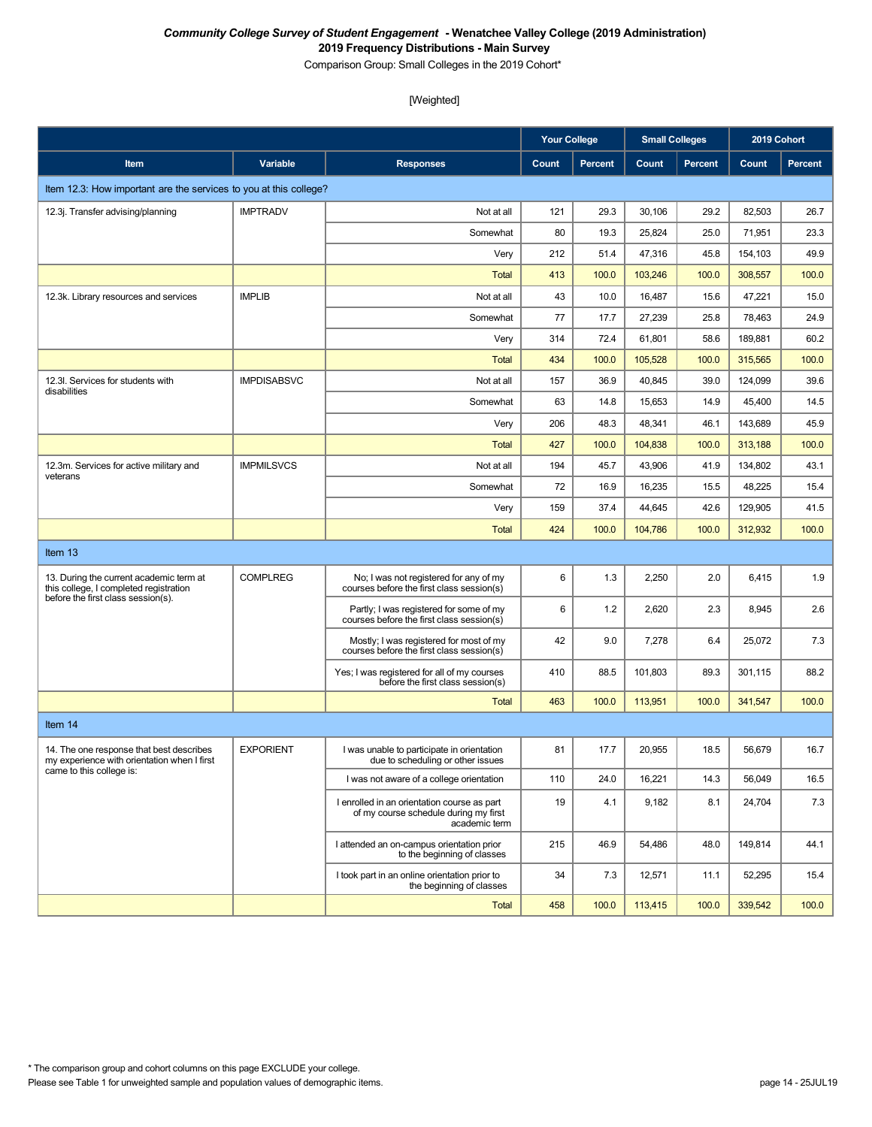Comparison Group: Small Colleges in the 2019 Cohort\*

|                                                                                         |                    |                                                                                                       | <b>Your College</b> |                | <b>Small Colleges</b> |                | 2019 Cohort |                |
|-----------------------------------------------------------------------------------------|--------------------|-------------------------------------------------------------------------------------------------------|---------------------|----------------|-----------------------|----------------|-------------|----------------|
| Item                                                                                    | Variable           | <b>Responses</b>                                                                                      | Count               | <b>Percent</b> | Count                 | <b>Percent</b> | Count       | <b>Percent</b> |
| Item 12.3: How important are the services to you at this college?                       |                    |                                                                                                       |                     |                |                       |                |             |                |
| 12.3j. Transfer advising/planning                                                       | <b>IMPTRADV</b>    | Not at all                                                                                            | 121                 | 29.3           | 30,106                | 29.2           | 82,503      | 26.7           |
|                                                                                         |                    | Somewhat                                                                                              | 80                  | 19.3           | 25,824                | 25.0           | 71,951      | 23.3           |
|                                                                                         |                    | Very                                                                                                  | 212                 | 51.4           | 47,316                | 45.8           | 154,103     | 49.9           |
|                                                                                         |                    | <b>Total</b>                                                                                          | 413                 | 100.0          | 103,246               | 100.0          | 308.557     | 100.0          |
| 12.3k. Library resources and services                                                   | <b>IMPLIB</b>      | Not at all                                                                                            | 43                  | 10.0           | 16,487                | 15.6           | 47,221      | 15.0           |
|                                                                                         |                    | Somewhat                                                                                              | 77                  | 17.7           | 27,239                | 25.8           | 78,463      | 24.9           |
|                                                                                         |                    | Very                                                                                                  | 314                 | 72.4           | 61,801                | 58.6           | 189,881     | 60.2           |
|                                                                                         |                    | <b>Total</b>                                                                                          | 434                 | 100.0          | 105,528               | 100.0          | 315,565     | 100.0          |
| 12.3I. Services for students with<br>disabilities                                       | <b>IMPDISABSVC</b> | Not at all                                                                                            | 157                 | 36.9           | 40,845                | 39.0           | 124,099     | 39.6           |
|                                                                                         |                    | Somewhat                                                                                              | 63                  | 14.8           | 15,653                | 14.9           | 45,400      | 14.5           |
|                                                                                         |                    | Very                                                                                                  | 206                 | 48.3           | 48,341                | 46.1           | 143,689     | 45.9           |
|                                                                                         |                    | <b>Total</b>                                                                                          | 427                 | 100.0          | 104,838               | 100.0          | 313,188     | 100.0          |
| 12.3m. Services for active military and<br>veterans                                     | <b>IMPMILSVCS</b>  | Not at all                                                                                            | 194                 | 45.7           | 43,906                | 41.9           | 134.802     | 43.1           |
|                                                                                         |                    | Somewhat                                                                                              | 72                  | 16.9           | 16,235                | 15.5           | 48,225      | 15.4           |
|                                                                                         |                    | Very                                                                                                  | 159                 | 37.4           | 44,645                | 42.6           | 129,905     | 41.5           |
|                                                                                         |                    | <b>Total</b>                                                                                          | 424                 | 100.0          | 104.786               | 100.0          | 312,932     | 100.0          |
| Item 13                                                                                 |                    |                                                                                                       |                     |                |                       |                |             |                |
| 13. During the current academic term at<br>this college, I completed registration       | <b>COMPLREG</b>    | No; I was not registered for any of my<br>courses before the first class session(s)                   | 6                   | 1.3            | 2,250                 | 2.0            | 6,415       | 1.9            |
| before the first class session(s).                                                      |                    | Partly; I was registered for some of my<br>courses before the first class session(s)                  | 6                   | 1.2            | 2,620                 | 2.3            | 8,945       | 2.6            |
|                                                                                         |                    | Mostly; I was registered for most of my<br>courses before the first class session(s)                  | 42                  | 9.0            | 7,278                 | 6.4            | 25,072      | 7.3            |
|                                                                                         |                    | Yes; I was registered for all of my courses<br>before the first class session(s)                      | 410                 | 88.5           | 101,803               | 89.3           | 301,115     | 88.2           |
|                                                                                         |                    | <b>Total</b>                                                                                          | 463                 | 100.0          | 113,951               | 100.0          | 341,547     | 100.0          |
| Item 14                                                                                 |                    |                                                                                                       |                     |                |                       |                |             |                |
| 14. The one response that best describes<br>my experience with orientation when I first | <b>EXPORIENT</b>   | I was unable to participate in orientation<br>due to scheduling or other issues                       | 81                  | 17.7           | 20,955                | 18.5           | 56,679      | 16.7           |
| came to this college is:                                                                |                    | I was not aware of a college orientation                                                              | 110                 | 24.0           | 16,221                | 14.3           | 56,049      | 16.5           |
|                                                                                         |                    | I enrolled in an orientation course as part<br>of my course schedule during my first<br>academic term | 19                  | 4.1            | 9,182                 | 8.1            | 24,704      | 7.3            |
|                                                                                         |                    | I attended an on-campus orientation prior<br>to the beginning of classes                              | 215                 | 46.9           | 54,486                | 48.0           | 149,814     | 44.1           |
|                                                                                         |                    | I took part in an online orientation prior to<br>the beginning of classes                             | 34                  | 7.3            | 12,571                | 11.1           | 52,295      | 15.4           |
|                                                                                         |                    | <b>Total</b>                                                                                          | 458                 | 100.0          | 113,415               | 100.0          | 339,542     | 100.0          |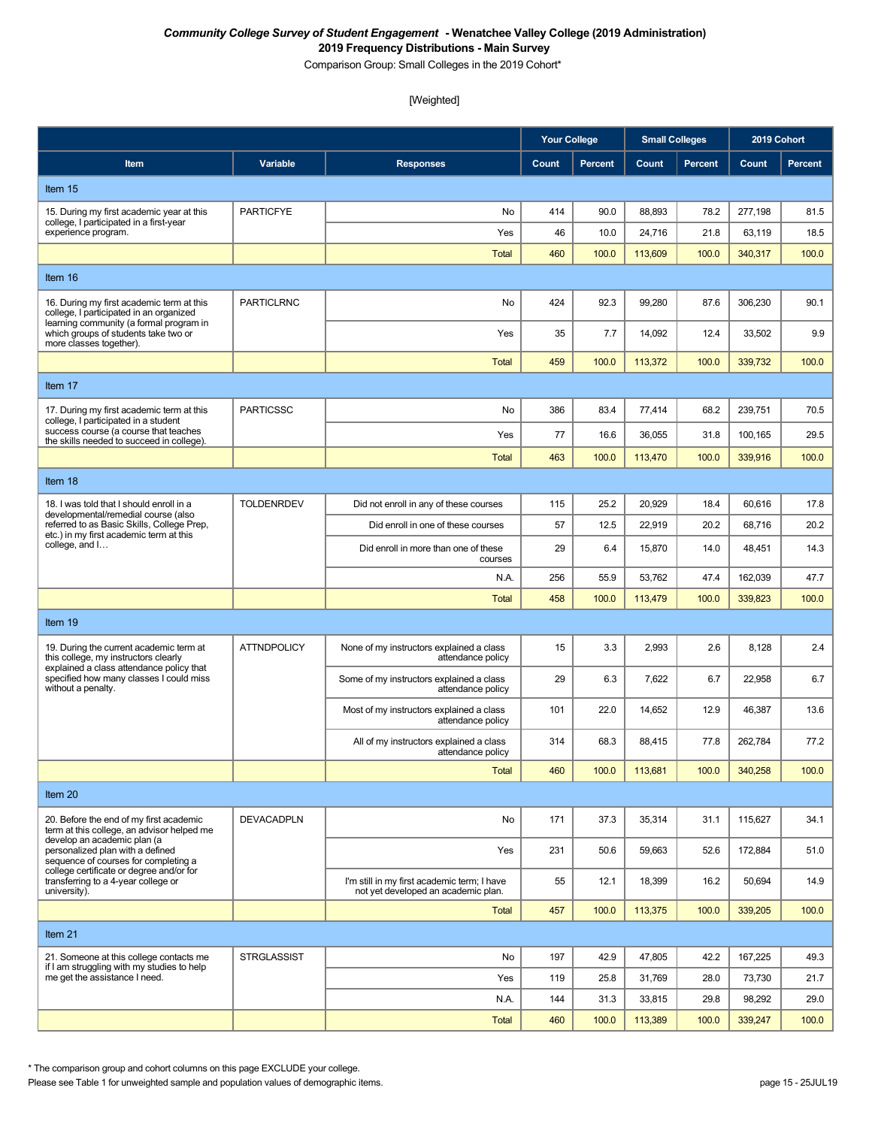Comparison Group: Small Colleges in the 2019 Cohort\*

# [Weighted]

|                                                                                                                             |                    |                                                                                    | <b>Your College</b> |         | <b>Small Colleges</b> |                | 2019 Cohort |                |
|-----------------------------------------------------------------------------------------------------------------------------|--------------------|------------------------------------------------------------------------------------|---------------------|---------|-----------------------|----------------|-------------|----------------|
| <b>Item</b>                                                                                                                 | Variable           | <b>Responses</b>                                                                   | Count               | Percent | Count                 | <b>Percent</b> | Count       | <b>Percent</b> |
| Item 15                                                                                                                     |                    |                                                                                    |                     |         |                       |                |             |                |
| 15. During my first academic year at this                                                                                   | <b>PARTICFYE</b>   | No                                                                                 | 414                 | 90.0    | 88,893                | 78.2           | 277,198     | 81.5           |
| college, I participated in a first-year<br>experience program.                                                              |                    | Yes                                                                                | 46                  | 10.0    | 24,716                | 21.8           | 63,119      | 18.5           |
|                                                                                                                             |                    | Total                                                                              | 460                 | 100.0   | 113,609               | 100.0          | 340,317     | 100.0          |
| Item 16                                                                                                                     |                    |                                                                                    |                     |         |                       |                |             |                |
| 16. During my first academic term at this<br>college, I participated in an organized                                        | <b>PARTICLRNC</b>  | No                                                                                 | 424                 | 92.3    | 99,280                | 87.6           | 306,230     | 90.1           |
| learning community (a formal program in<br>which groups of students take two or<br>more classes together).                  |                    | Yes                                                                                | 35                  | 7.7     | 14,092                | 12.4           | 33,502      | 9.9            |
|                                                                                                                             |                    | <b>Total</b>                                                                       | 459                 | 100.0   | 113,372               | 100.0          | 339,732     | 100.0          |
| Item 17                                                                                                                     |                    |                                                                                    |                     |         |                       |                |             |                |
| 17. During my first academic term at this<br>college, I participated in a student                                           | <b>PARTICSSC</b>   | No                                                                                 | 386                 | 83.4    | 77,414                | 68.2           | 239,751     | 70.5           |
| success course (a course that teaches<br>the skills needed to succeed in college).                                          |                    | Yes                                                                                | 77                  | 16.6    | 36,055                | 31.8           | 100,165     | 29.5           |
|                                                                                                                             |                    | <b>Total</b>                                                                       | 463                 | 100.0   | 113,470               | 100.0          | 339,916     | 100.0          |
| Item 18                                                                                                                     |                    |                                                                                    |                     |         |                       |                |             |                |
| 18. I was told that I should enroll in a<br>developmental/remedial course (also                                             | <b>TOLDENRDEV</b>  | Did not enroll in any of these courses                                             | 115                 | 25.2    | 20,929                | 18.4           | 60,616      | 17.8           |
| referred to as Basic Skills, College Prep,<br>etc.) in my first academic term at this                                       |                    | Did enroll in one of these courses                                                 | 57                  | 12.5    | 22,919                | 20.2           | 68,716      | 20.2           |
| college, and I                                                                                                              |                    | Did enroll in more than one of these<br>courses                                    | 29                  | 6.4     | 15,870                | 14.0           | 48,451      | 14.3           |
|                                                                                                                             |                    | N.A.                                                                               | 256                 | 55.9    | 53,762                | 47.4           | 162,039     | 47.7           |
|                                                                                                                             |                    | <b>Total</b>                                                                       | 458                 | 100.0   | 113,479               | 100.0          | 339,823     | 100.0          |
| Item 19                                                                                                                     |                    |                                                                                    |                     |         |                       |                |             |                |
| 19. During the current academic term at<br>this college, my instructors clearly<br>explained a class attendance policy that | <b>ATTNDPOLICY</b> | None of my instructors explained a class<br>attendance policy                      | 15                  | 3.3     | 2,993                 | 2.6            | 8,128       | 2.4            |
| specified how many classes I could miss<br>without a penalty.                                                               |                    | Some of my instructors explained a class<br>attendance policy                      | 29                  | 6.3     | 7,622                 | 6.7            | 22,958      | 6.7            |
|                                                                                                                             |                    | Most of my instructors explained a class<br>attendance policy                      | 101                 | 22.0    | 14,652                | 12.9           | 46,387      | 13.6           |
|                                                                                                                             |                    | All of my instructors explained a class<br>attendance policy                       | 314                 | 68.3    | 88,415                | 77.8           | 262,784     | 77.2           |
|                                                                                                                             |                    | Total                                                                              | 460                 | 100.0   | 113,681               | 100.0          | 340,258     | 100.0          |
| Item 20                                                                                                                     |                    |                                                                                    |                     |         |                       |                |             |                |
| 20. Before the end of my first academic<br>term at this college, an advisor helped me<br>develop an academic plan (a        | <b>DEVACADPLN</b>  | No                                                                                 | 171                 | 37.3    | 35,314                | 31.1           | 115,627     | 34.1           |
| personalized plan with a defined<br>sequence of courses for completing a<br>college certificate or degree and/or for        |                    | Yes                                                                                | 231                 | 50.6    | 59,663                | 52.6           | 172,884     | 51.0           |
| transferring to a 4-year college or<br>university).                                                                         |                    | I'm still in my first academic term; I have<br>not yet developed an academic plan. | 55                  | 12.1    | 18,399                | 16.2           | 50,694      | 14.9           |
|                                                                                                                             |                    | <b>Total</b>                                                                       | 457                 | 100.0   | 113,375               | 100.0          | 339,205     | 100.0          |
| Item 21                                                                                                                     |                    |                                                                                    |                     |         |                       |                |             |                |
| 21. Someone at this college contacts me<br>if I am struggling with my studies to help                                       | <b>STRGLASSIST</b> | No                                                                                 | 197                 | 42.9    | 47,805                | 42.2           | 167,225     | 49.3           |
| me get the assistance I need.                                                                                               |                    | Yes                                                                                | 119                 | 25.8    | 31,769                | 28.0           | 73,730      | 21.7           |
|                                                                                                                             |                    | N.A.                                                                               | 144                 | 31.3    | 33,815                | 29.8           | 98,292      | 29.0           |
|                                                                                                                             |                    | <b>Total</b>                                                                       | 460                 | 100.0   | 113,389               | 100.0          | 339,247     | 100.0          |

\* The comparison group and cohort columns on this page EXCLUDE your college.

Please see Table 1 for unweighted sample and population values of demographic items. page 15 - 25JUL19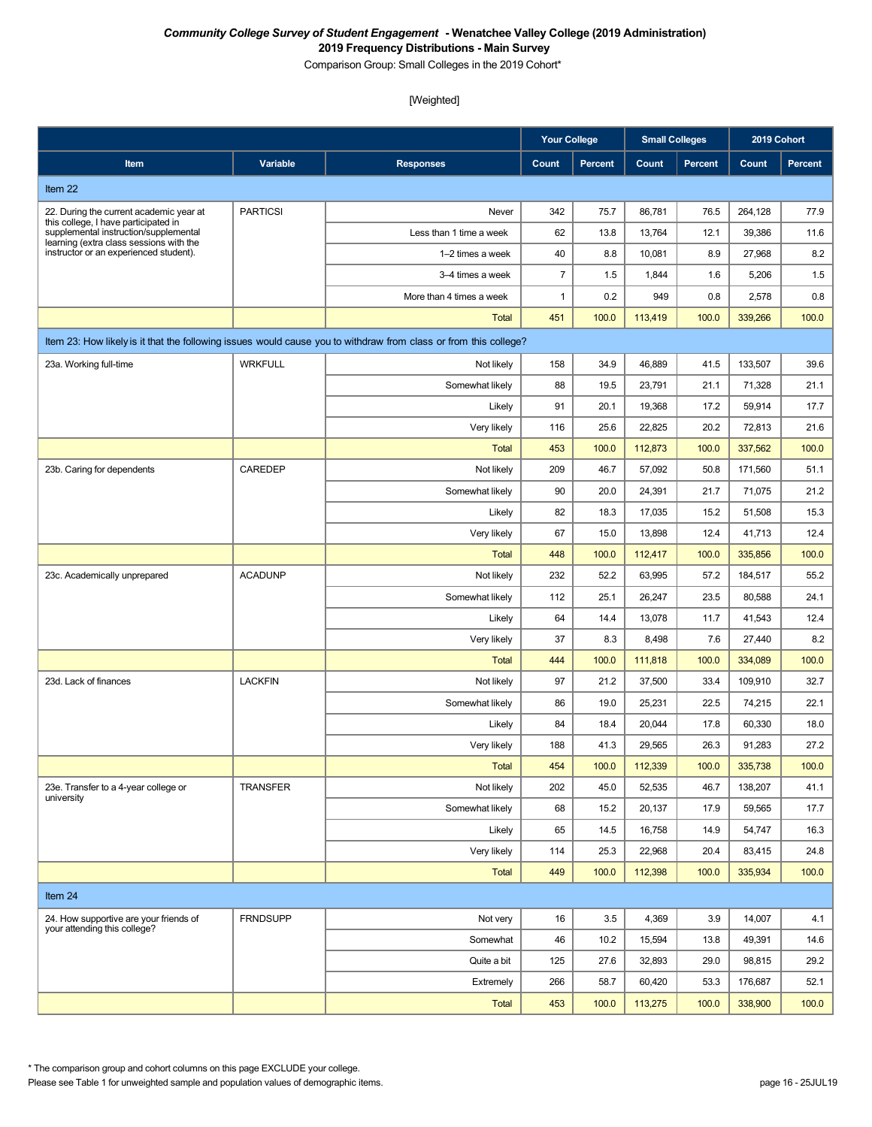Comparison Group: Small Colleges in the 2019 Cohort\*

#### [Weighted]

|                                                                                   |                 |                                                                                                                  | <b>Your College</b> |                | <b>Small Colleges</b> |                | 2019 Cohort |                |
|-----------------------------------------------------------------------------------|-----------------|------------------------------------------------------------------------------------------------------------------|---------------------|----------------|-----------------------|----------------|-------------|----------------|
| Item                                                                              | Variable        | <b>Responses</b>                                                                                                 | Count               | <b>Percent</b> | Count                 | <b>Percent</b> | Count       | <b>Percent</b> |
| Item 22                                                                           |                 |                                                                                                                  |                     |                |                       |                |             |                |
| 22. During the current academic year at                                           | <b>PARTICSI</b> | Never                                                                                                            | 342                 | 75.7           | 86,781                | 76.5           | 264,128     | 77.9           |
| this college, I have participated in<br>supplemental instruction/supplemental     |                 | Less than 1 time a week                                                                                          | 62                  | 13.8           | 13,764                | 12.1           | 39,386      | 11.6           |
| learning (extra class sessions with the<br>instructor or an experienced student). |                 | 1-2 times a week                                                                                                 | 40                  | 8.8            | 10,081                | 8.9            | 27,968      | 8.2            |
|                                                                                   |                 | 3-4 times a week                                                                                                 | $\overline{7}$      | 1.5            | 1,844                 | 1.6            | 5,206       | 1.5            |
|                                                                                   |                 | More than 4 times a week                                                                                         | 1                   | 0.2            | 949                   | 0.8            | 2,578       | 0.8            |
|                                                                                   |                 | Total                                                                                                            | 451                 | 100.0          | 113,419               | 100.0          | 339,266     | 100.0          |
|                                                                                   |                 | Item 23: How likely is it that the following issues would cause you to withdraw from class or from this college? |                     |                |                       |                |             |                |
| 23a. Working full-time                                                            | <b>WRKFULL</b>  | Not likely                                                                                                       | 158                 | 34.9           | 46,889                | 41.5           | 133,507     | 39.6           |
|                                                                                   |                 | Somewhat likely                                                                                                  | 88                  | 19.5           | 23,791                | 21.1           | 71,328      | 21.1           |
|                                                                                   |                 | Likely                                                                                                           | 91                  | 20.1           | 19,368                | 17.2           | 59,914      | 17.7           |
|                                                                                   |                 | Very likely                                                                                                      | 116                 | 25.6           | 22,825                | 20.2           | 72,813      | 21.6           |
|                                                                                   |                 | Total                                                                                                            | 453                 | 100.0          | 112,873               | 100.0          | 337,562     | 100.0          |
| 23b. Caring for dependents                                                        | CAREDEP         | Not likely                                                                                                       | 209                 | 46.7           | 57,092                | 50.8           | 171,560     | 51.1           |
|                                                                                   |                 | Somewhat likely                                                                                                  | 90                  | 20.0           | 24,391                | 21.7           | 71,075      | 21.2           |
|                                                                                   |                 | Likely                                                                                                           | 82                  | 18.3           | 17,035                | 15.2           | 51,508      | 15.3           |
|                                                                                   |                 | Very likely                                                                                                      | 67                  | 15.0           | 13,898                | 12.4           | 41,713      | 12.4           |
|                                                                                   |                 | <b>Total</b>                                                                                                     | 448                 | 100.0          | 112,417               | 100.0          | 335,856     | 100.0          |
| 23c. Academically unprepared                                                      | <b>ACADUNP</b>  | Not likely                                                                                                       | 232                 | 52.2           | 63,995                | 57.2           | 184,517     | 55.2           |
|                                                                                   |                 | Somewhat likely                                                                                                  | 112                 | 25.1           | 26,247                | 23.5           | 80,588      | 24.1           |
|                                                                                   |                 | Likely                                                                                                           | 64                  | 14.4           | 13,078                | 11.7           | 41,543      | 12.4           |
|                                                                                   |                 | Very likely                                                                                                      | 37                  | 8.3            | 8,498                 | 7.6            | 27,440      | 8.2            |
|                                                                                   |                 | Total                                                                                                            | 444                 | 100.0          | 111,818               | 100.0          | 334,089     | 100.0          |
| 23d. Lack of finances                                                             | <b>LACKFIN</b>  | Not likely                                                                                                       | 97                  | 21.2           | 37,500                | 33.4           | 109,910     | 32.7           |
|                                                                                   |                 | Somewhat likely                                                                                                  | 86                  | 19.0           | 25,231                | 22.5           | 74,215      | 22.1           |
|                                                                                   |                 | Likely                                                                                                           | 84                  | 18.4           | 20,044                | 17.8           | 60.330      | 18.0           |
|                                                                                   |                 | Very likely                                                                                                      | 188                 | 41.3           | 29,565                | 26.3           | 91,283      | 27.2           |
|                                                                                   |                 | <b>Total</b>                                                                                                     | 454                 | 100.0          | 112,339               | 100.0          | 335,738     | 100.0          |
| 23e. Transfer to a 4-year college or<br>university                                | <b>TRANSFER</b> | Not likely                                                                                                       | 202                 | 45.0           | 52,535                | 46.7           | 138,207     | 41.1           |
|                                                                                   |                 | Somewhat likely                                                                                                  | 68                  | 15.2           | 20,137                | 17.9           | 59,565      | 17.7           |
|                                                                                   |                 | Likely                                                                                                           | 65                  | 14.5           | 16,758                | 14.9           | 54,747      | 16.3           |
|                                                                                   |                 | Very likely                                                                                                      | 114                 | 25.3           | 22,968                | 20.4           | 83,415      | 24.8           |
|                                                                                   |                 | <b>Total</b>                                                                                                     | 449                 | 100.0          | 112,398               | 100.0          | 335,934     | 100.0          |
| Item 24                                                                           |                 |                                                                                                                  |                     |                |                       |                |             |                |
| 24. How supportive are your friends of<br>your attending this college?            | <b>FRNDSUPP</b> | Not very                                                                                                         | 16                  | 3.5            | 4,369                 | 3.9            | 14,007      | 4.1            |
|                                                                                   |                 | Somewhat                                                                                                         | 46                  | 10.2           | 15,594                | 13.8           | 49,391      | 14.6           |
|                                                                                   |                 | Quite a bit                                                                                                      | 125                 | 27.6           | 32,893                | 29.0           | 98,815      | 29.2           |
|                                                                                   |                 | Extremely                                                                                                        | 266                 | 58.7           | 60,420                | 53.3           | 176,687     | 52.1           |
|                                                                                   |                 | Total                                                                                                            | 453                 | 100.0          | 113,275               | 100.0          | 338,900     | 100.0          |

\* The comparison group and cohort columns on this page EXCLUDE your college.

Please see Table 1 for unweighted sample and population values of demographic items. page 16 - 25JUL19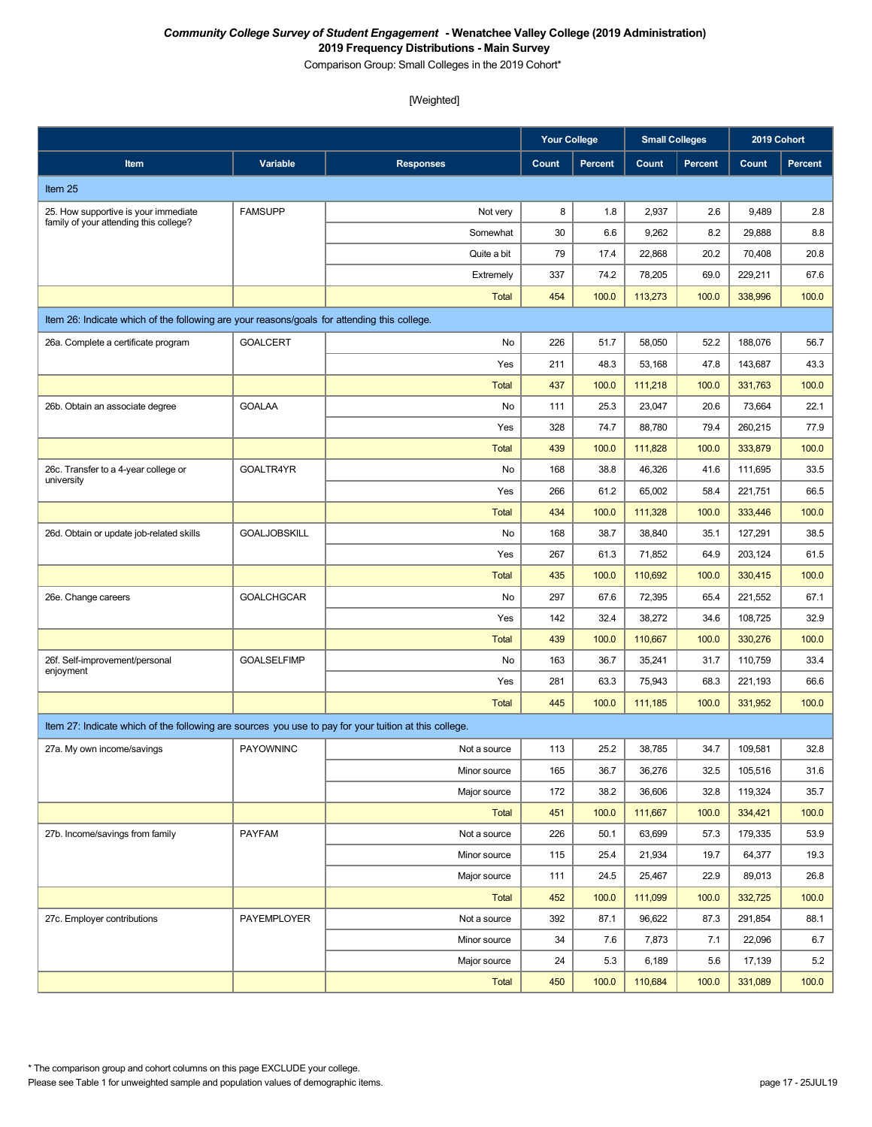Comparison Group: Small Colleges in the 2019 Cohort\*

|                                                                                                       |                     |                  | <b>Your College</b> |                | <b>Small Colleges</b> |                | 2019 Cohort |                |
|-------------------------------------------------------------------------------------------------------|---------------------|------------------|---------------------|----------------|-----------------------|----------------|-------------|----------------|
| Item                                                                                                  | Variable            | <b>Responses</b> | Count               | <b>Percent</b> | Count                 | <b>Percent</b> | Count       | <b>Percent</b> |
| Item 25                                                                                               |                     |                  |                     |                |                       |                |             |                |
| 25. How supportive is your immediate                                                                  | <b>FAMSUPP</b>      | Not very         | 8                   | 1.8            | 2,937                 | 2.6            | 9,489       | 2.8            |
| family of your attending this college?                                                                |                     | Somewhat         | 30                  | 6.6            | 9,262                 | 8.2            | 29,888      | 8.8            |
|                                                                                                       |                     | Quite a bit      | 79                  | 17.4           | 22,868                | 20.2           | 70,408      | 20.8           |
|                                                                                                       |                     | Extremely        | 337                 | 74.2           | 78,205                | 69.0           | 229.211     | 67.6           |
|                                                                                                       |                     | <b>Total</b>     | 454                 | 100.0          | 113,273               | 100.0          | 338,996     | 100.0          |
| Item 26: Indicate which of the following are your reasons/goals for attending this college.           |                     |                  |                     |                |                       |                |             |                |
| 26a. Complete a certificate program                                                                   | <b>GOALCERT</b>     | No               | 226                 | 51.7           | 58,050                | 52.2           | 188,076     | 56.7           |
|                                                                                                       |                     | Yes              | 211                 | 48.3           | 53,168                | 47.8           | 143,687     | 43.3           |
|                                                                                                       |                     | <b>Total</b>     | 437                 | 100.0          | 111,218               | 100.0          | 331,763     | 100.0          |
| 26b. Obtain an associate degree                                                                       | <b>GOALAA</b>       | No               | 111                 | 25.3           | 23,047                | 20.6           | 73,664      | 22.1           |
|                                                                                                       |                     | Yes              | 328                 | 74.7           | 88,780                | 79.4           | 260,215     | 77.9           |
|                                                                                                       |                     | <b>Total</b>     | 439                 | 100.0          | 111,828               | 100.0          | 333,879     | 100.0          |
| 26c. Transfer to a 4-year college or<br>university                                                    | GOALTR4YR           | No               | 168                 | 38.8           | 46,326                | 41.6           | 111,695     | 33.5           |
|                                                                                                       |                     | Yes              | 266                 | 61.2           | 65,002                | 58.4           | 221,751     | 66.5           |
|                                                                                                       |                     | <b>Total</b>     | 434                 | 100.0          | 111,328               | 100.0          | 333,446     | 100.0          |
| 26d. Obtain or update job-related skills                                                              | <b>GOALJOBSKILL</b> | No               | 168                 | 38.7           | 38,840                | 35.1           | 127,291     | 38.5           |
|                                                                                                       |                     | Yes              | 267                 | 61.3           | 71,852                | 64.9           | 203,124     | 61.5           |
|                                                                                                       |                     | <b>Total</b>     | 435                 | 100.0          | 110,692               | 100.0          | 330,415     | 100.0          |
| 26e. Change careers                                                                                   | <b>GOALCHGCAR</b>   | No               | 297                 | 67.6           | 72,395                | 65.4           | 221,552     | 67.1           |
|                                                                                                       |                     | Yes              | 142                 | 32.4           | 38,272                | 34.6           | 108,725     | 32.9           |
|                                                                                                       |                     | <b>Total</b>     | 439                 | 100.0          | 110,667               | 100.0          | 330,276     | 100.0          |
| 26f. Self-improvement/personal<br>enjoyment                                                           | <b>GOALSELFIMP</b>  | No               | 163                 | 36.7           | 35,241                | 31.7           | 110,759     | 33.4           |
|                                                                                                       |                     | Yes              | 281                 | 63.3           | 75,943                | 68.3           | 221,193     | 66.6           |
|                                                                                                       |                     | <b>Total</b>     | 445                 | 100.0          | 111,185               | 100.0          | 331,952     | 100.0          |
| Item 27: Indicate which of the following are sources you use to pay for your tuition at this college. |                     |                  |                     |                |                       |                |             |                |
| 27a. My own income/savings                                                                            | <b>PAYOWNINC</b>    | Not a source     | 113                 | 25.2           | 38,785                | 34.7           | 109,581     | 32.8           |
|                                                                                                       |                     | Minor source     | 165                 | 36.7           | 36,276                | 32.5           | 105,516     | 31.6           |
|                                                                                                       |                     | Major source     | 172                 | 38.2           | 36,606                | 32.8           | 119,324     | 35.7           |
|                                                                                                       |                     | Total            | 451                 | 100.0          | 111,667               | 100.0          | 334,421     | 100.0          |
| 27b. Income/savings from family                                                                       | <b>PAYFAM</b>       | Not a source     | 226                 | 50.1           | 63,699                | 57.3           | 179,335     | 53.9           |
|                                                                                                       |                     | Minor source     | 115                 | 25.4           | 21,934                | 19.7           | 64,377      | 19.3           |
|                                                                                                       |                     | Major source     | 111                 | 24.5           | 25,467                | 22.9           | 89,013      | 26.8           |
|                                                                                                       |                     | <b>Total</b>     | 452                 | 100.0          | 111,099               | 100.0          | 332,725     | 100.0          |
| 27c. Employer contributions                                                                           | PAYEMPLOYER         | Not a source     | 392                 | 87.1           | 96,622                | 87.3           | 291,854     | 88.1           |
|                                                                                                       |                     | Minor source     | 34                  | 7.6            | 7,873                 | 7.1            | 22,096      | 6.7            |
|                                                                                                       |                     | Major source     | 24                  | 5.3            | 6,189                 | 5.6            | 17,139      | 5.2            |
|                                                                                                       |                     | Total            | 450                 | 100.0          | 110,684               | 100.0          | 331,089     | 100.0          |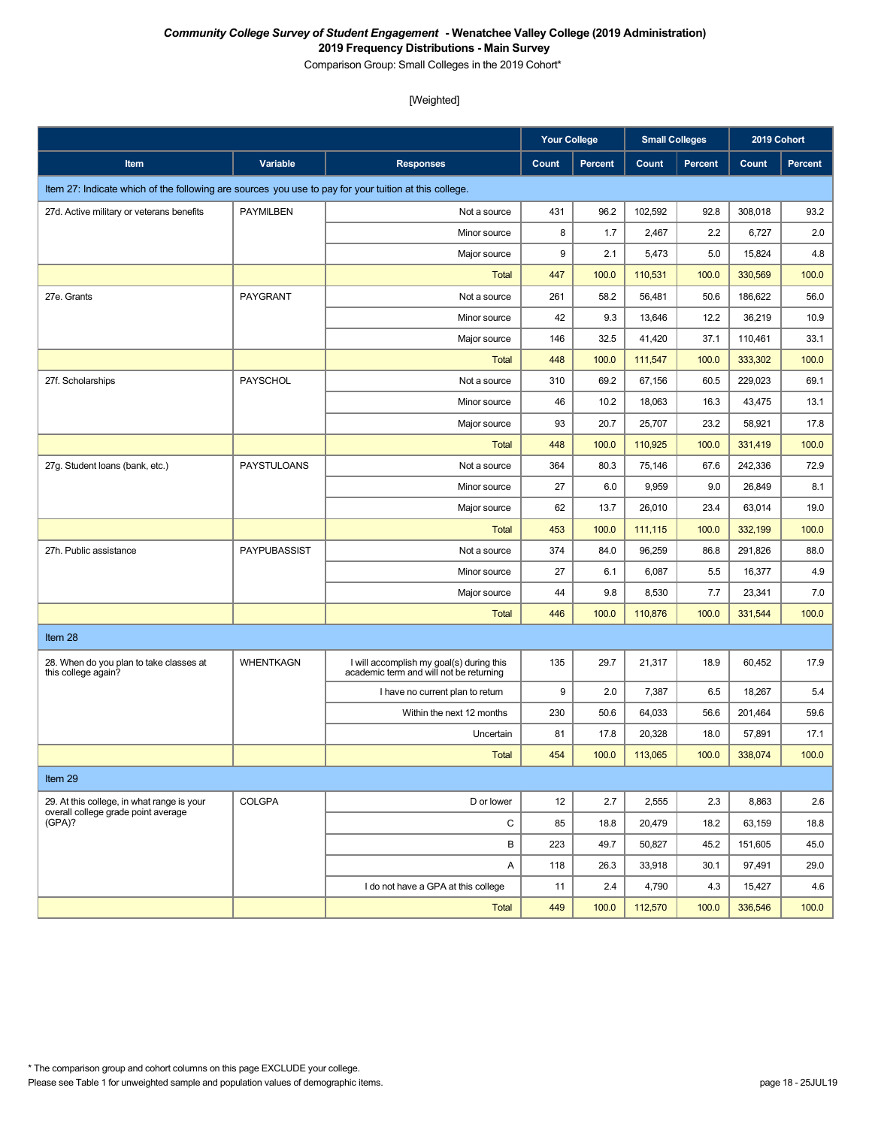Comparison Group: Small Colleges in the 2019 Cohort\*

|                                                                                                       |                    |                                                                                     | <b>Your College</b> |         | <b>Small Colleges</b> |                | 2019 Cohort |         |
|-------------------------------------------------------------------------------------------------------|--------------------|-------------------------------------------------------------------------------------|---------------------|---------|-----------------------|----------------|-------------|---------|
| Item                                                                                                  | Variable           | <b>Responses</b>                                                                    | Count               | Percent | Count                 | <b>Percent</b> | Count       | Percent |
| Item 27: Indicate which of the following are sources you use to pay for your tuition at this college. |                    |                                                                                     |                     |         |                       |                |             |         |
| 27d. Active military or veterans benefits                                                             | <b>PAYMILBEN</b>   | Not a source                                                                        | 431                 | 96.2    | 102,592               | 92.8           | 308,018     | 93.2    |
|                                                                                                       |                    | Minor source                                                                        | 8                   | 1.7     | 2,467                 | 2.2            | 6,727       | 2.0     |
|                                                                                                       |                    | Major source                                                                        | 9                   | 2.1     | 5,473                 | 5.0            | 15,824      | 4.8     |
|                                                                                                       |                    | <b>Total</b>                                                                        | 447                 | 100.0   | 110,531               | 100.0          | 330,569     | 100.0   |
| 27e. Grants                                                                                           | PAYGRANT           | Not a source                                                                        | 261                 | 58.2    | 56,481                | 50.6           | 186,622     | 56.0    |
|                                                                                                       |                    | Minor source                                                                        | 42                  | 9.3     | 13,646                | 12.2           | 36,219      | 10.9    |
|                                                                                                       |                    | Major source                                                                        | 146                 | 32.5    | 41,420                | 37.1           | 110,461     | 33.1    |
|                                                                                                       |                    | <b>Total</b>                                                                        | 448                 | 100.0   | 111,547               | 100.0          | 333,302     | 100.0   |
| 27f. Scholarships                                                                                     | <b>PAYSCHOL</b>    | Not a source                                                                        | 310                 | 69.2    | 67,156                | 60.5           | 229,023     | 69.1    |
|                                                                                                       |                    | Minor source                                                                        | 46                  | 10.2    | 18,063                | 16.3           | 43,475      | 13.1    |
|                                                                                                       |                    | Major source                                                                        | 93                  | 20.7    | 25,707                | 23.2           | 58,921      | 17.8    |
|                                                                                                       |                    | <b>Total</b>                                                                        | 448                 | 100.0   | 110,925               | 100.0          | 331,419     | 100.0   |
| 27g. Student loans (bank, etc.)                                                                       | <b>PAYSTULOANS</b> | Not a source                                                                        | 364                 | 80.3    | 75,146                | 67.6           | 242,336     | 72.9    |
|                                                                                                       |                    | Minor source                                                                        | 27                  | 6.0     | 9,959                 | 9.0            | 26,849      | 8.1     |
|                                                                                                       |                    | Major source                                                                        | 62                  | 13.7    | 26,010                | 23.4           | 63,014      | 19.0    |
|                                                                                                       |                    | <b>Total</b>                                                                        | 453                 | 100.0   | 111,115               | 100.0          | 332,199     | 100.0   |
| 27h. Public assistance                                                                                | PAYPUBASSIST       | Not a source                                                                        | 374                 | 84.0    | 96,259                | 86.8           | 291,826     | 88.0    |
|                                                                                                       |                    | Minor source                                                                        | 27                  | 6.1     | 6,087                 | 5.5            | 16,377      | 4.9     |
|                                                                                                       |                    | Major source                                                                        | 44                  | 9.8     | 8,530                 | 7.7            | 23,341      | 7.0     |
|                                                                                                       |                    | <b>Total</b>                                                                        | 446                 | 100.0   | 110,876               | 100.0          | 331,544     | 100.0   |
| Item 28                                                                                               |                    |                                                                                     |                     |         |                       |                |             |         |
| 28. When do you plan to take classes at<br>this college again?                                        | <b>WHENTKAGN</b>   | I will accomplish my goal(s) during this<br>academic term and will not be returning | 135                 | 29.7    | 21,317                | 18.9           | 60,452      | 17.9    |
|                                                                                                       |                    | I have no current plan to return                                                    | 9                   | 2.0     | 7,387                 | 6.5            | 18,267      | 5.4     |
|                                                                                                       |                    | Within the next 12 months                                                           | 230                 | 50.6    | 64,033                | 56.6           | 201,464     | 59.6    |
|                                                                                                       |                    | Uncertain                                                                           | 81                  | 17.8    | 20,328                | 18.0           | 57,891      | 17.1    |
|                                                                                                       |                    | <b>Total</b>                                                                        | 454                 | 100.0   | 113,065               | 100.0          | 338,074     | 100.0   |
| Item 29                                                                                               |                    |                                                                                     |                     |         |                       |                |             |         |
| 29. At this college, in what range is your                                                            | COLGPA             | D or lower                                                                          | 12                  | 2.7     | 2,555                 | 2.3            | 8,863       | 2.6     |
| overall college grade point average<br>(GPA)?                                                         |                    | C                                                                                   | 85                  | 18.8    | 20,479                | 18.2           | 63,159      | 18.8    |
|                                                                                                       |                    | В                                                                                   | 223                 | 49.7    | 50,827                | 45.2           | 151,605     | 45.0    |
|                                                                                                       |                    | Α                                                                                   | 118                 | 26.3    | 33,918                | 30.1           | 97,491      | 29.0    |
|                                                                                                       |                    | I do not have a GPA at this college                                                 | 11                  | 2.4     | 4,790                 | 4.3            | 15,427      | 4.6     |
|                                                                                                       |                    | Total                                                                               | 449                 | 100.0   | 112,570               | 100.0          | 336,546     | 100.0   |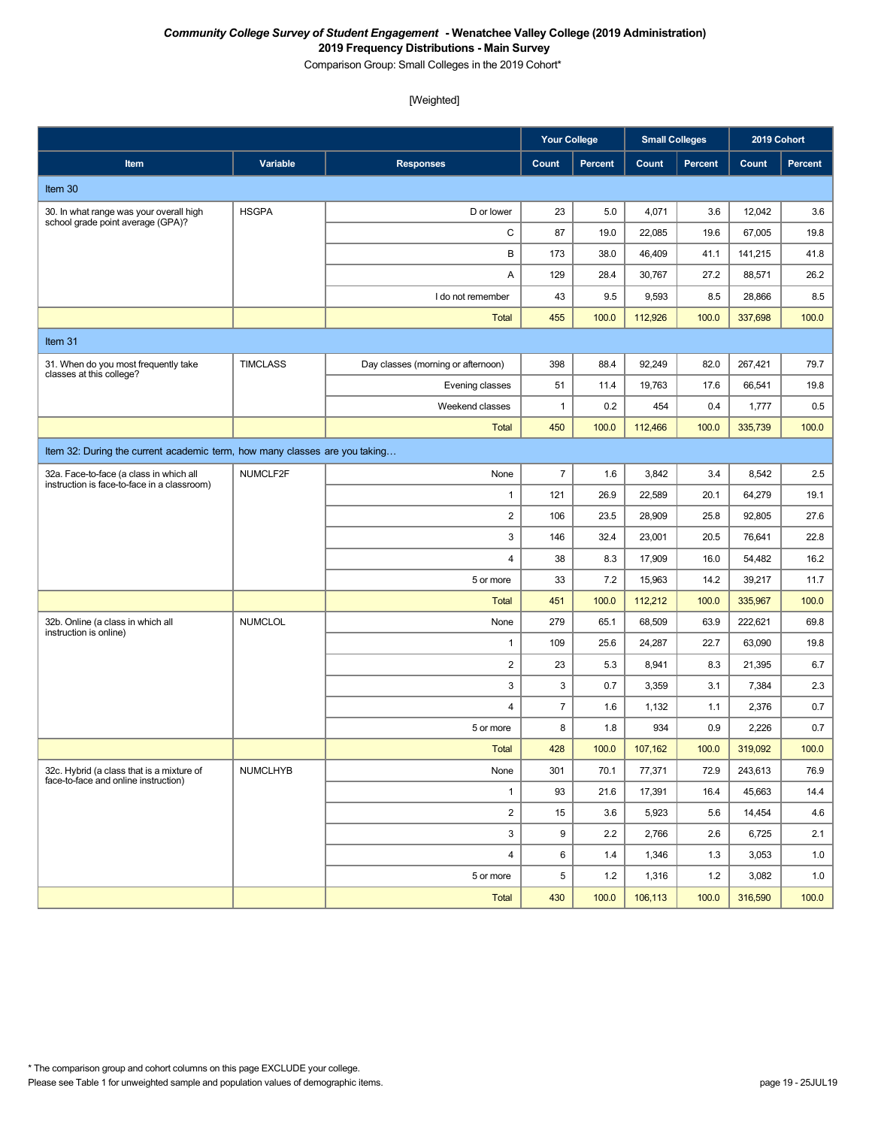Comparison Group: Small Colleges in the 2019 Cohort\*

|                                                                                        |                 |                                    | <b>Your College</b><br><b>Small Colleges</b> |                | 2019 Cohort |                |         |                |
|----------------------------------------------------------------------------------------|-----------------|------------------------------------|----------------------------------------------|----------------|-------------|----------------|---------|----------------|
| <b>Item</b>                                                                            | Variable        | <b>Responses</b>                   | Count                                        | <b>Percent</b> | Count       | <b>Percent</b> | Count   | <b>Percent</b> |
| Item 30                                                                                |                 |                                    |                                              |                |             |                |         |                |
| 30. In what range was your overall high<br>school grade point average (GPA)?           | <b>HSGPA</b>    | D or lower                         | 23                                           | 5.0            | 4,071       | 3.6            | 12,042  | 3.6            |
|                                                                                        |                 | C                                  | 87                                           | 19.0           | 22,085      | 19.6           | 67,005  | 19.8           |
|                                                                                        |                 | В                                  | 173                                          | 38.0           | 46,409      | 41.1           | 141,215 | 41.8           |
|                                                                                        |                 | Α                                  | 129                                          | 28.4           | 30,767      | 27.2           | 88,571  | 26.2           |
|                                                                                        |                 | I do not remember                  | 43                                           | 9.5            | 9,593       | 8.5            | 28,866  | 8.5            |
|                                                                                        |                 | <b>Total</b>                       | 455                                          | 100.0          | 112,926     | 100.0          | 337,698 | 100.0          |
| Item 31                                                                                |                 |                                    |                                              |                |             |                |         |                |
| 31. When do you most frequently take<br>classes at this college?                       | <b>TIMCLASS</b> | Day classes (morning or afternoon) | 398                                          | 88.4           | 92,249      | 82.0           | 267,421 | 79.7           |
|                                                                                        |                 | Evening classes                    | 51                                           | 11.4           | 19,763      | 17.6           | 66,541  | 19.8           |
|                                                                                        |                 | Weekend classes                    | $\mathbf{1}$                                 | 0.2            | 454         | 0.4            | 1,777   | 0.5            |
|                                                                                        |                 | <b>Total</b>                       | 450                                          | 100.0          | 112,466     | 100.0          | 335,739 | 100.0          |
| Item 32: During the current academic term, how many classes are you taking             |                 |                                    |                                              |                |             |                |         |                |
| 32a. Face-to-face (a class in which all<br>instruction is face-to-face in a classroom) | NUMCLF2F        | None                               | $\overline{7}$                               | 1.6            | 3,842       | 3.4            | 8,542   | 2.5            |
|                                                                                        |                 | $\mathbf{1}$                       | 121                                          | 26.9           | 22,589      | 20.1           | 64,279  | 19.1           |
|                                                                                        |                 | $\overline{\mathbf{c}}$            | 106                                          | 23.5           | 28,909      | 25.8           | 92,805  | 27.6           |
|                                                                                        |                 | 3                                  | 146                                          | 32.4           | 23,001      | 20.5           | 76,641  | 22.8           |
|                                                                                        |                 | 4                                  | 38                                           | 8.3            | 17,909      | 16.0           | 54,482  | 16.2           |
|                                                                                        |                 | 5 or more                          | 33                                           | 7.2            | 15,963      | 14.2           | 39,217  | 11.7           |
|                                                                                        |                 | <b>Total</b>                       | 451                                          | 100.0          | 112,212     | 100.0          | 335,967 | 100.0          |
| 32b. Online (a class in which all<br>instruction is online)                            | <b>NUMCLOL</b>  | None                               | 279                                          | 65.1           | 68,509      | 63.9           | 222,621 | 69.8           |
|                                                                                        |                 | $\mathbf{1}$                       | 109                                          | 25.6           | 24,287      | 22.7           | 63,090  | 19.8           |
|                                                                                        |                 | $\overline{c}$                     | 23                                           | 5.3            | 8,941       | 8.3            | 21,395  | 6.7            |
|                                                                                        |                 | 3                                  | 3                                            | 0.7            | 3,359       | 3.1            | 7,384   | 2.3            |
|                                                                                        |                 | $\overline{4}$                     | $\overline{7}$                               | 1.6            | 1,132       | 1.1            | 2,376   | 0.7            |
|                                                                                        |                 | 5 or more                          | 8                                            | 1.8            | 934         | 0.9            | 2,226   | 0.7            |
|                                                                                        |                 | <b>Total</b>                       | 428                                          | 100.0          | 107,162     | 100.0          | 319,092 | 100.0          |
| 32c. Hybrid (a class that is a mixture of<br>face-to-face and online instruction)      | <b>NUMCLHYB</b> | None                               | 301                                          | 70.1           | 77,371      | 72.9           | 243,613 | 76.9           |
|                                                                                        |                 | $\mathbf{1}$                       | 93                                           | 21.6           | 17,391      | 16.4           | 45,663  | 14.4           |
|                                                                                        |                 | $\overline{\mathbf{c}}$            | 15                                           | 3.6            | 5,923       | 5.6            | 14,454  | 4.6            |
|                                                                                        |                 | 3                                  | 9                                            | 2.2            | 2,766       | 2.6            | 6,725   | 2.1            |
|                                                                                        |                 | 4                                  | 6                                            | 1.4            | 1,346       | 1.3            | 3,053   | 1.0            |
|                                                                                        |                 | 5 or more                          | 5                                            | 1.2            | 1,316       | 1.2            | 3,082   | 1.0            |
|                                                                                        |                 | Total                              | 430                                          | 100.0          | 106,113     | 100.0          | 316,590 | 100.0          |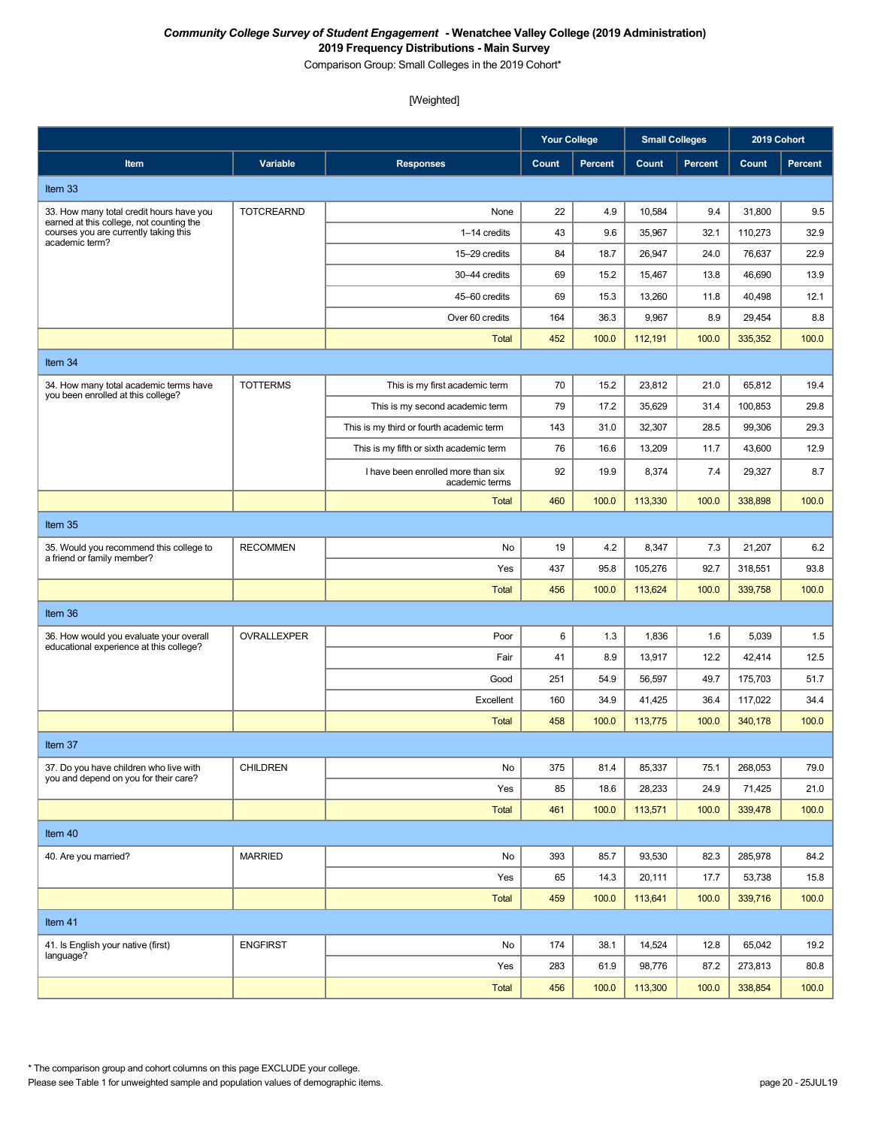Comparison Group: Small Colleges in the 2019 Cohort\*

[Weighted]

|                                                                                                     |                   |                                                      | <b>Your College</b> |         | <b>Small Colleges</b> |                | 2019 Cohort |                |
|-----------------------------------------------------------------------------------------------------|-------------------|------------------------------------------------------|---------------------|---------|-----------------------|----------------|-------------|----------------|
| Item                                                                                                | Variable          | <b>Responses</b>                                     | Count               | Percent | Count                 | <b>Percent</b> | Count       | <b>Percent</b> |
| Item 33                                                                                             |                   |                                                      |                     |         |                       |                |             |                |
| 33. How many total credit hours have you                                                            | <b>TOTCREARND</b> | None                                                 | 22                  | 4.9     | 10,584                | 9.4            | 31,800      | 9.5            |
| earned at this college, not counting the<br>courses you are currently taking this<br>academic term? |                   | 1-14 credits                                         | 43                  | 9.6     | 35,967                | 32.1           | 110,273     | 32.9           |
|                                                                                                     |                   | 15-29 credits                                        | 84                  | 18.7    | 26,947                | 24.0           | 76,637      | 22.9           |
|                                                                                                     |                   | 30-44 credits                                        | 69                  | 15.2    | 15,467                | 13.8           | 46,690      | 13.9           |
|                                                                                                     |                   | 45-60 credits                                        | 69                  | 15.3    | 13,260                | 11.8           | 40,498      | 12.1           |
|                                                                                                     |                   | Over 60 credits                                      | 164                 | 36.3    | 9,967                 | 8.9            | 29,454      | 8.8            |
|                                                                                                     |                   | <b>Total</b>                                         | 452                 | 100.0   | 112,191               | 100.0          | 335,352     | 100.0          |
| Item 34                                                                                             |                   |                                                      |                     |         |                       |                |             |                |
| 34. How many total academic terms have                                                              | <b>TOTTERMS</b>   | This is my first academic term                       | 70                  | 15.2    | 23,812                | 21.0           | 65,812      | 19.4           |
| you been enrolled at this college?                                                                  |                   | This is my second academic term                      | 79                  | 17.2    | 35,629                | 31.4           | 100,853     | 29.8           |
|                                                                                                     |                   | This is my third or fourth academic term             | 143                 | 31.0    | 32,307                | 28.5           | 99,306      | 29.3           |
|                                                                                                     |                   | This is my fifth or sixth academic term              | 76                  | 16.6    | 13,209                | 11.7           | 43,600      | 12.9           |
|                                                                                                     |                   | I have been enrolled more than six<br>academic terms | 92                  | 19.9    | 8,374                 | 7.4            | 29,327      | 8.7            |
|                                                                                                     |                   | <b>Total</b>                                         | 460                 | 100.0   | 113,330               | 100.0          | 338,898     | 100.0          |
| Item 35                                                                                             |                   |                                                      |                     |         |                       |                |             |                |
| 35. Would you recommend this college to<br>a friend or family member?                               | <b>RECOMMEN</b>   | No                                                   | 19                  | 4.2     | 8,347                 | 7.3            | 21,207      | 6.2            |
|                                                                                                     |                   | Yes                                                  | 437                 | 95.8    | 105,276               | 92.7           | 318,551     | 93.8           |
|                                                                                                     |                   | <b>Total</b>                                         | 456                 | 100.0   | 113,624               | 100.0          | 339,758     | 100.0          |
| Item 36                                                                                             |                   |                                                      |                     |         |                       |                |             |                |
| 36. How would you evaluate your overall                                                             | OVRALLEXPER       | Poor                                                 | 6                   | 1.3     | 1,836                 | 1.6            | 5,039       | 1.5            |
| educational experience at this college?                                                             |                   | Fair                                                 | 41                  | 8.9     | 13,917                | 12.2           | 42,414      | 12.5           |
|                                                                                                     |                   | Good                                                 | 251                 | 54.9    | 56,597                | 49.7           | 175,703     | 51.7           |
|                                                                                                     |                   | Excellent                                            | 160                 | 34.9    | 41,425                | 36.4           | 117,022     | 34.4           |
|                                                                                                     |                   | <b>Total</b>                                         | 458                 | 100.0   | 113,775               | 100.0          | 340,178     | 100.0          |
| Item 37                                                                                             |                   |                                                      |                     |         |                       |                |             |                |
| 37. Do you have children who live with<br>you and depend on you for their care?                     | <b>CHILDREN</b>   | No                                                   | 375                 | 81.4    | 85,337                | 75.1           | 268,053     | 79.0           |
|                                                                                                     |                   | Yes                                                  | 85                  | 18.6    | 28,233                | 24.9           | 71,425      | 21.0           |
|                                                                                                     |                   | Total                                                | 461                 | 100.0   | 113,571               | 100.0          | 339,478     | 100.0          |
| Item 40                                                                                             |                   |                                                      |                     |         |                       |                |             |                |
| 40. Are you married?                                                                                | <b>MARRIED</b>    | No                                                   | 393                 | 85.7    | 93,530                | 82.3           | 285,978     | 84.2           |
|                                                                                                     |                   | Yes                                                  | 65                  | 14.3    | 20,111                | 17.7           | 53,738      | 15.8           |
|                                                                                                     |                   | Total                                                | 459                 | 100.0   | 113,641               | 100.0          | 339,716     | 100.0          |
| Item 41                                                                                             |                   |                                                      |                     |         |                       |                |             |                |
| 41. Is English your native (first)                                                                  | <b>ENGFIRST</b>   | No                                                   | 174                 | 38.1    | 14,524                | 12.8           | 65,042      | 19.2           |
| language?                                                                                           |                   | Yes                                                  | 283                 | 61.9    | 98,776                | 87.2           | 273,813     | 80.8           |
|                                                                                                     |                   | Total                                                | 456                 | 100.0   | 113,300               | 100.0          | 338,854     | 100.0          |

\* The comparison group and cohort columns on this page EXCLUDE your college.

Please see Table 1 for unweighted sample and population values of demographic items. page 20 - 25JUL19 page 20 - 25JUL19